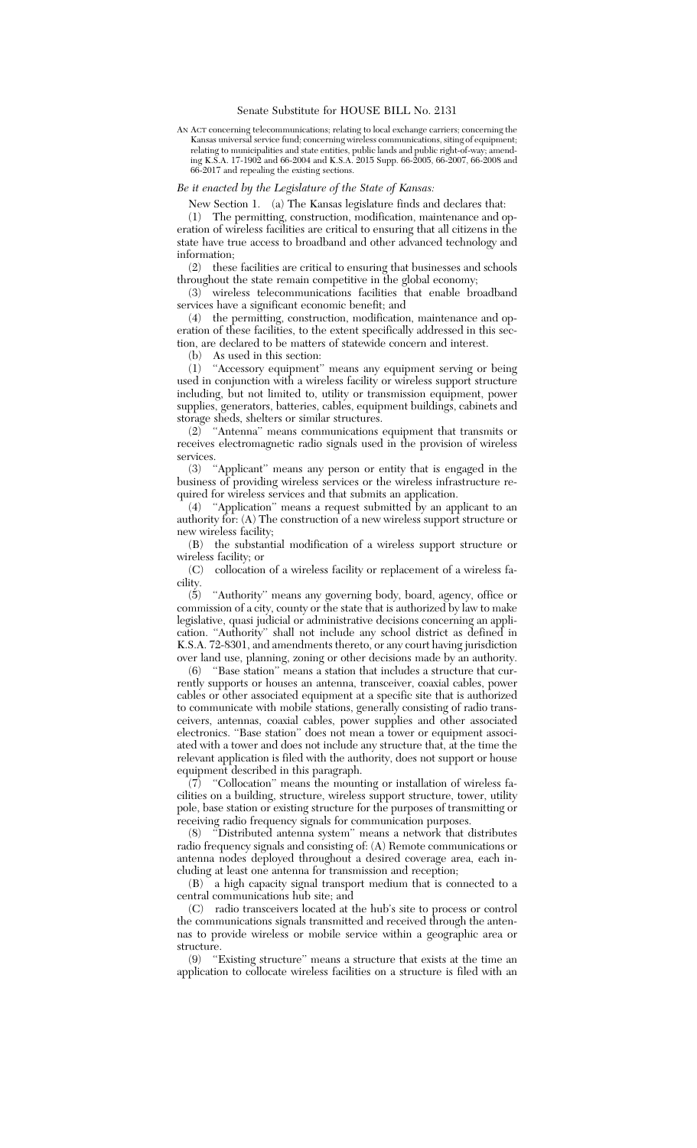## Senate Substitute for HOUSE BILL No. 2131

AN ACT concerning telecommunications; relating to local exchange carriers; concerning the Kansas universal service fund; concerning wireless communications, siting of equipment; relating to municipalities and state entities, public lands and public right-of-way; amending K.S.A. 17-1902 and 66-2004 and K.S.A. 2015 Supp. 66-2005, 66-2007, 66-2008 and 66-2017 and repealing the existing sections.

## *Be it enacted by the Legislature of the State of Kansas:*

New Section 1. (a) The Kansas legislature finds and declares that:

(1) The permitting, construction, modification, maintenance and operation of wireless facilities are critical to ensuring that all citizens in the state have true access to broadband and other advanced technology and information;

(2) these facilities are critical to ensuring that businesses and schools throughout the state remain competitive in the global economy;

(3) wireless telecommunications facilities that enable broadband services have a significant economic benefit; and

(4) the permitting, construction, modification, maintenance and operation of these facilities, to the extent specifically addressed in this section, are declared to be matters of statewide concern and interest.

(b) As used in this section:

(1) ''Accessory equipment'' means any equipment serving or being used in conjunction with a wireless facility or wireless support structure including, but not limited to, utility or transmission equipment, power supplies, generators, batteries, cables, equipment buildings, cabinets and storage sheds, shelters or similar structures.

(2) ''Antenna'' means communications equipment that transmits or receives electromagnetic radio signals used in the provision of wireless services.

(3) ''Applicant'' means any person or entity that is engaged in the business of providing wireless services or the wireless infrastructure required for wireless services and that submits an application.

(4) ''Application'' means a request submitted by an applicant to an authority for: (A) The construction of a new wireless support structure or new wireless facility;

(B) the substantial modification of a wireless support structure or wireless facility; or

(C) collocation of a wireless facility or replacement of a wireless facility.

(5) ''Authority'' means any governing body, board, agency, office or commission of a city, county or the state that is authorized by law to make legislative, quasi judicial or administrative decisions concerning an application. ''Authority'' shall not include any school district as defined in K.S.A. 72-8301, and amendments thereto, or any court having jurisdiction over land use, planning, zoning or other decisions made by an authority.

(6) ''Base station'' means a station that includes a structure that currently supports or houses an antenna, transceiver, coaxial cables, power cables or other associated equipment at a specific site that is authorized to communicate with mobile stations, generally consisting of radio transceivers, antennas, coaxial cables, power supplies and other associated electronics. ''Base station'' does not mean a tower or equipment associated with a tower and does not include any structure that, at the time the relevant application is filed with the authority, does not support or house equipment described in this paragraph.

 $(7)$  "Collocation" means the mounting or installation of wireless facilities on a building, structure, wireless support structure, tower, utility pole, base station or existing structure for the purposes of transmitting or receiving radio frequency signals for communication purposes.

(8) ''Distributed antenna system'' means a network that distributes radio frequency signals and consisting of: (A) Remote communications or antenna nodes deployed throughout a desired coverage area, each including at least one antenna for transmission and reception;

(B) a high capacity signal transport medium that is connected to a central communications hub site; and

(C) radio transceivers located at the hub's site to process or control the communications signals transmitted and received through the antennas to provide wireless or mobile service within a geographic area or structure.

(9) ''Existing structure'' means a structure that exists at the time an application to collocate wireless facilities on a structure is filed with an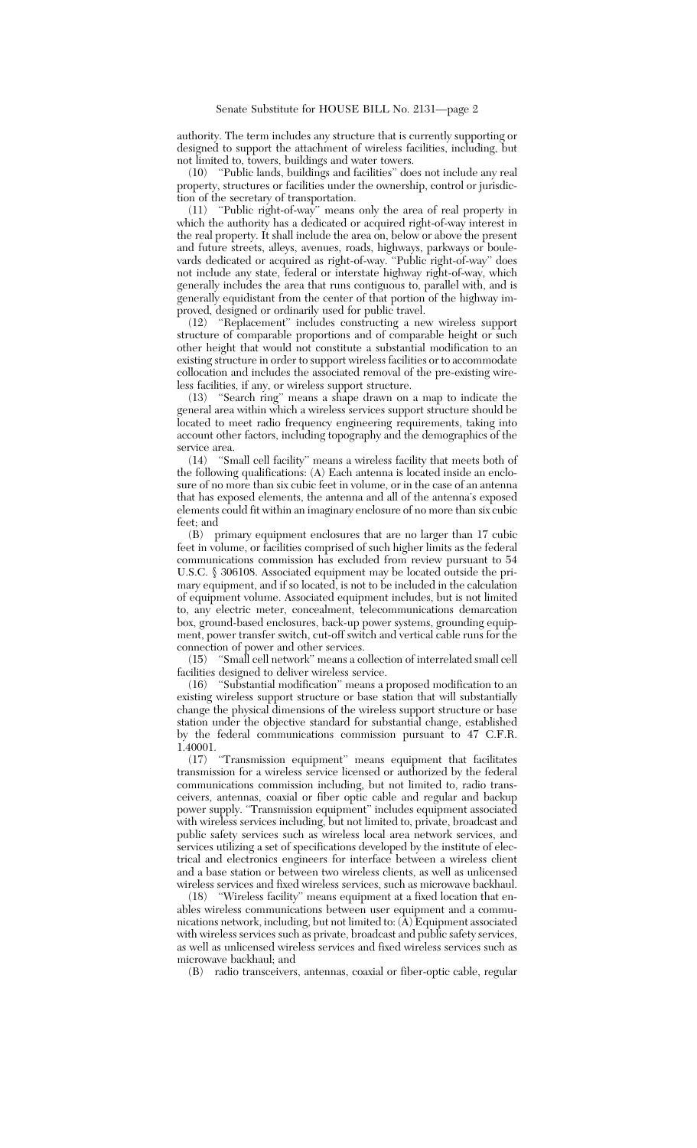authority. The term includes any structure that is currently supporting or designed to support the attachment of wireless facilities, including, but not limited to, towers, buildings and water towers.

(10) ''Public lands, buildings and facilities'' does not include any real property, structures or facilities under the ownership, control or jurisdiction of the secretary of transportation.

(11) ''Public right-of-way'' means only the area of real property in which the authority has a dedicated or acquired right-of-way interest in the real property. It shall include the area on, below or above the present and future streets, alleys, avenues, roads, highways, parkways or boulevards dedicated or acquired as right-of-way. ''Public right-of-way'' does not include any state, federal or interstate highway right-of-way, which generally includes the area that runs contiguous to, parallel with, and is generally equidistant from the center of that portion of the highway improved, designed or ordinarily used for public travel.<br>
(12) "Beplacement" includes constructing a new

(12) ''Replacement'' includes constructing a new wireless support structure of comparable proportions and of comparable height or such other height that would not constitute a substantial modification to an existing structure in order to support wireless facilities or to accommodate collocation and includes the associated removal of the pre-existing wireless facilities, if any, or wireless support structure.

"Search ring" means a shape drawn on a map to indicate the general area within which a wireless services support structure should be located to meet radio frequency engineering requirements, taking into account other factors, including topography and the demographics of the service area.

(14) ''Small cell facility'' means a wireless facility that meets both of the following qualifications: (A) Each antenna is located inside an enclosure of no more than six cubic feet in volume, or in the case of an antenna that has exposed elements, the antenna and all of the antenna's exposed elements could fit within an imaginary enclosure of no more than six cubic feet; and

(B) primary equipment enclosures that are no larger than 17 cubic feet in volume, or facilities comprised of such higher limits as the federal communications commission has excluded from review pursuant to 54 U.S.C. § 306108. Associated equipment may be located outside the primary equipment, and if so located, is not to be included in the calculation of equipment volume. Associated equipment includes, but is not limited to, any electric meter, concealment, telecommunications demarcation box, ground-based enclosures, back-up power systems, grounding equipment, power transfer switch, cut-off switch and vertical cable runs for the connection of power and other services.<br>(15) "Small cell network" means a co

(15) ''Small cell network'' means a collection of interrelated small cell facilities designed to deliver wireless service.<br>(16) "Substantial modification" means a

"Substantial modification" means a proposed modification to an existing wireless support structure or base station that will substantially change the physical dimensions of the wireless support structure or base station under the objective standard for substantial change, established by the federal communications commission pursuant to 47 C.F.R. 1.40001.

(17) ''Transmission equipment'' means equipment that facilitates transmission for a wireless service licensed or authorized by the federal communications commission including, but not limited to, radio transceivers, antennas, coaxial or fiber optic cable and regular and backup power supply. ''Transmission equipment'' includes equipment associated with wireless services including, but not limited to, private, broadcast and public safety services such as wireless local area network services, and services utilizing a set of specifications developed by the institute of electrical and electronics engineers for interface between a wireless client and a base station or between two wireless clients, as well as unlicensed wireless services and fixed wireless services, such as microwave backhaul.<br>(18) "Wireless facility" means equipment at a fixed location that en-

"Wireless facility" means equipment at a fixed location that enables wireless communications between user equipment and a communications network, including, but not limited to: (A) Equipment associated with wireless services such as private, broadcast and public safety services, as well as unlicensed wireless services and fixed wireless services such as microwave backhaul; and

(B) radio transceivers, antennas, coaxial or fiber-optic cable, regular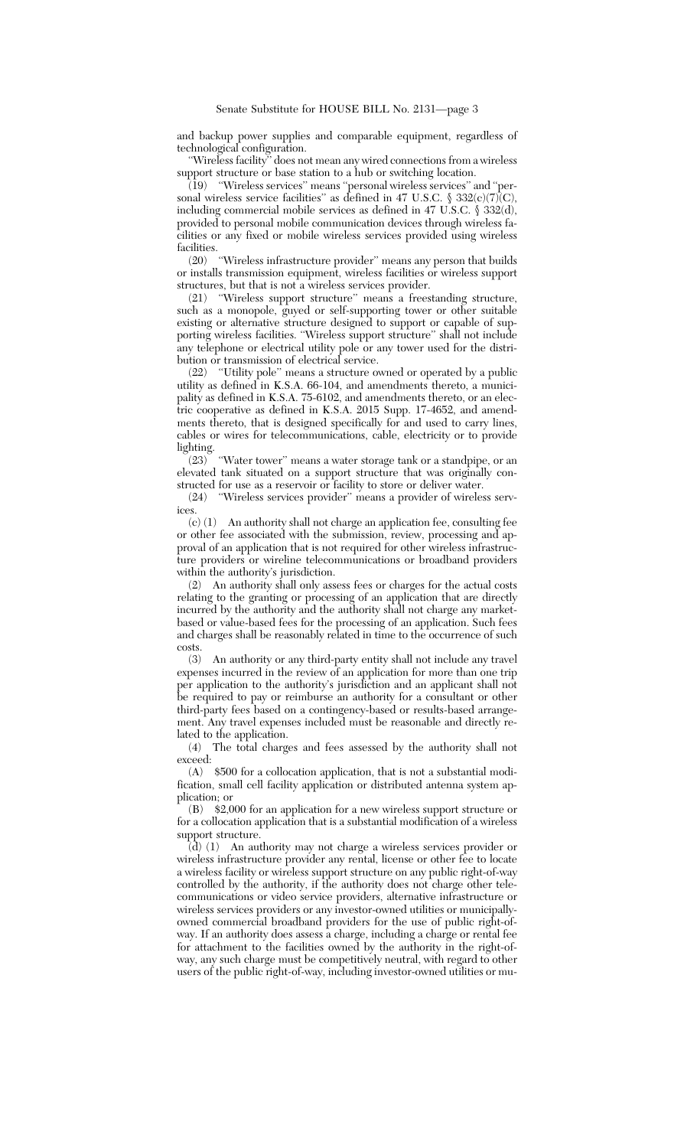and backup power supplies and comparable equipment, regardless of technological configuration.

''Wireless facility'' does not mean any wired connections from a wireless support structure or base station to a hub or switching location.

(19) ''Wireless services'' means ''personal wireless services'' and ''personal wireless service facilities" as defined in 47 U.S.C.  $\$332(c)(7)\text{C}$ , including commercial mobile services as defined in 47 U.S.C. § 332(d), provided to personal mobile communication devices through wireless facilities or any fixed or mobile wireless services provided using wireless facilities.<br> $(20)$ 

"Wireless infrastructure provider" means any person that builds or installs transmission equipment, wireless facilities or wireless support structures, but that is not a wireless services provider.<br>(21) "Wireless support structure" means a frees

"Wireless support structure" means a freestanding structure, such as a monopole, guyed or self-supporting tower or other suitable existing or alternative structure designed to support or capable of supporting wireless facilities. ''Wireless support structure'' shall not include any telephone or electrical utility pole or any tower used for the distribution or transmission of electrical service.

(22) ''Utility pole'' means a structure owned or operated by a public utility as defined in K.S.A. 66-104, and amendments thereto, a municipality as defined in K.S.A. 75-6102, and amendments thereto, or an electric cooperative as defined in K.S.A. 2015 Supp. 17-4652, and amendments thereto, that is designed specifically for and used to carry lines, cables or wires for telecommunications, cable, electricity or to provide lighting.

(23) ''Water tower'' means a water storage tank or a standpipe, or an elevated tank situated on a support structure that was originally constructed for use as a reservoir or facility to store or deliver water.<br>
(24) "Wireless services provider" means a provider of wirele.

"Wireless services provider" means a provider of wireless serv-

ices.<br> $(c)$   $(1)$ An authority shall not charge an application fee, consulting fee or other fee associated with the submission, review, processing and approval of an application that is not required for other wireless infrastructure providers or wireline telecommunications or broadband providers within the authority's jurisdiction.

(2) An authority shall only assess fees or charges for the actual costs relating to the granting or processing of an application that are directly incurred by the authority and the authority shall not charge any marketbased or value-based fees for the processing of an application. Such fees and charges shall be reasonably related in time to the occurrence of such costs.

(3) An authority or any third-party entity shall not include any travel expenses incurred in the review of an application for more than one trip per application to the authority's jurisdiction and an applicant shall not be required to pay or reimburse an authority for a consultant or other third-party fees based on a contingency-based or results-based arrangement. Any travel expenses included must be reasonable and directly related to the application.

(4) The total charges and fees assessed by the authority shall not exceed:

(A) \$500 for a collocation application, that is not a substantial modification, small cell facility application or distributed antenna system application; or

(B) \$2,000 for an application for a new wireless support structure or for a collocation application that is a substantial modification of a wireless support structure.

(d) (1) An authority may not charge a wireless services provider or wireless infrastructure provider any rental, license or other fee to locate a wireless facility or wireless support structure on any public right-of-way controlled by the authority, if the authority does not charge other telecommunications or video service providers, alternative infrastructure or wireless services providers or any investor-owned utilities or municipallyowned commercial broadband providers for the use of public right-ofway. If an authority does assess a charge, including a charge or rental fee for attachment to the facilities owned by the authority in the right-ofway, any such charge must be competitively neutral, with regard to other users of the public right-of-way, including investor-owned utilities or mu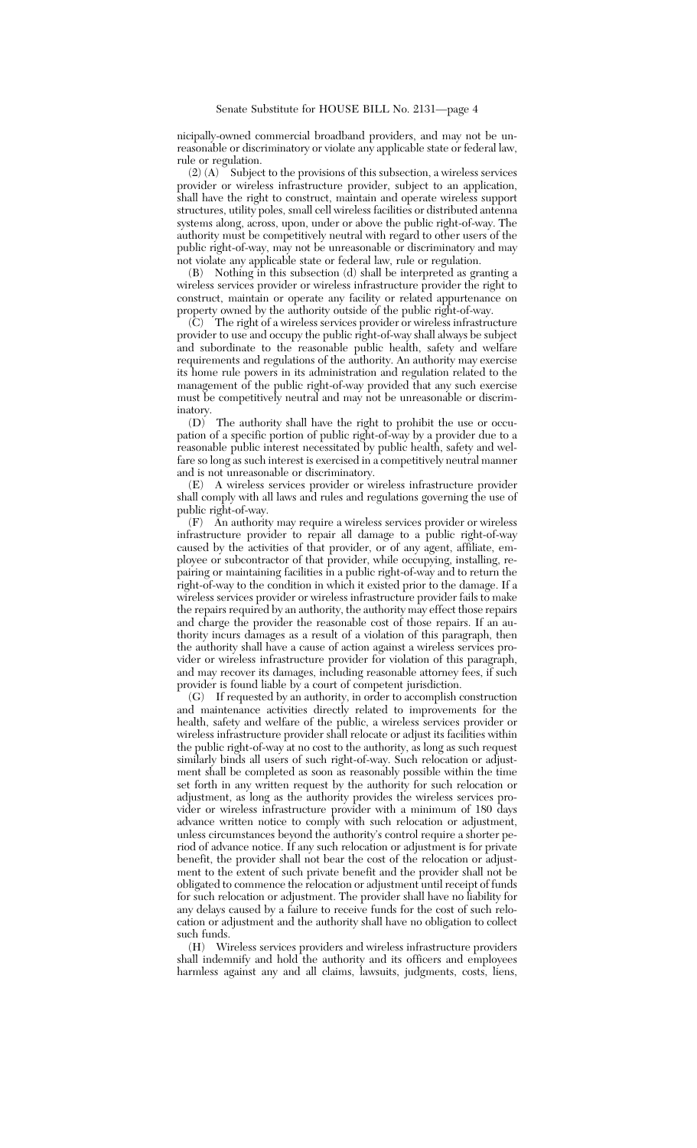nicipally-owned commercial broadband providers, and may not be unreasonable or discriminatory or violate any applicable state or federal law, rule or regulation.

 $(2)$  (A)  $\check{ }$  Subject to the provisions of this subsection, a wireless services provider or wireless infrastructure provider, subject to an application, shall have the right to construct, maintain and operate wireless support structures, utility poles, small cell wireless facilities or distributed antenna systems along, across, upon, under or above the public right-of-way. The authority must be competitively neutral with regard to other users of the public right-of-way, may not be unreasonable or discriminatory and may not violate any applicable state or federal law, rule or regulation.

(B) Nothing in this subsection (d) shall be interpreted as granting a wireless services provider or wireless infrastructure provider the right to construct, maintain or operate any facility or related appurtenance on property owned by the authority outside of the public right-of-way.

(C) The right of a wireless services provider or wireless infrastructure provider to use and occupy the public right-of-way shall always be subject and subordinate to the reasonable public health, safety and welfare requirements and regulations of the authority. An authority may exercise its home rule powers in its administration and regulation related to the management of the public right-of-way provided that any such exercise must be competitively neutral and may not be unreasonable or discriminatory.

(D) The authority shall have the right to prohibit the use or occupation of a specific portion of public right-of-way by a provider due to a reasonable public interest necessitated by public health, safety and welfare so long as such interest is exercised in a competitively neutral manner and is not unreasonable or discriminatory.

(E) A wireless services provider or wireless infrastructure provider shall comply with all laws and rules and regulations governing the use of public right-of-way.

(F) An authority may require a wireless services provider or wireless infrastructure provider to repair all damage to a public right-of-way caused by the activities of that provider, or of any agent, affiliate, employee or subcontractor of that provider, while occupying, installing, repairing or maintaining facilities in a public right-of-way and to return the right-of-way to the condition in which it existed prior to the damage. If a wireless services provider or wireless infrastructure provider fails to make the repairs required by an authority, the authority may effect those repairs and charge the provider the reasonable cost of those repairs. If an authority incurs damages as a result of a violation of this paragraph, then the authority shall have a cause of action against a wireless services provider or wireless infrastructure provider for violation of this paragraph, and may recover its damages, including reasonable attorney fees, if such provider is found liable by a court of competent jurisdiction.

(G) If requested by an authority, in order to accomplish construction and maintenance activities directly related to improvements for the health, safety and welfare of the public, a wireless services provider or wireless infrastructure provider shall relocate or adjust its facilities within the public right-of-way at no cost to the authority, as long as such request similarly binds all users of such right-of-way. Such relocation or adjustment shall be completed as soon as reasonably possible within the time set forth in any written request by the authority for such relocation or adjustment, as long as the authority provides the wireless services provider or wireless infrastructure provider with a minimum of 180 days advance written notice to comply with such relocation or adjustment, unless circumstances beyond the authority's control require a shorter period of advance notice. If any such relocation or adjustment is for private benefit, the provider shall not bear the cost of the relocation or adjustment to the extent of such private benefit and the provider shall not be obligated to commence the relocation or adjustment until receipt of funds for such relocation or adjustment. The provider shall have no liability for any delays caused by a failure to receive funds for the cost of such relocation or adjustment and the authority shall have no obligation to collect such funds.

(H) Wireless services providers and wireless infrastructure providers shall indemnify and hold the authority and its officers and employees harmless against any and all claims, lawsuits, judgments, costs, liens,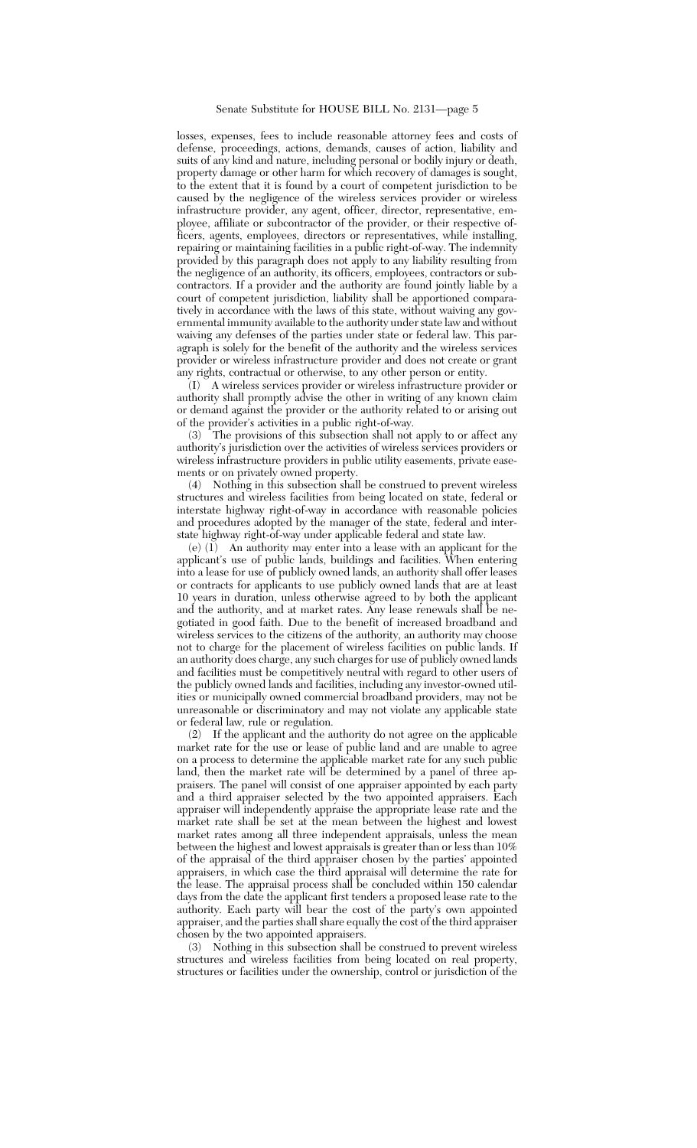losses, expenses, fees to include reasonable attorney fees and costs of defense, proceedings, actions, demands, causes of action, liability and suits of any kind and nature, including personal or bodily injury or death, property damage or other harm for which recovery of damages is sought, to the extent that it is found by a court of competent jurisdiction to be caused by the negligence of the wireless services provider or wireless infrastructure provider, any agent, officer, director, representative, employee, affiliate or subcontractor of the provider, or their respective officers, agents, employees, directors or representatives, while installing, repairing or maintaining facilities in a public right-of-way. The indemnity provided by this paragraph does not apply to any liability resulting from the negligence of an authority, its officers, employees, contractors or subcontractors. If a provider and the authority are found jointly liable by a court of competent jurisdiction, liability shall be apportioned comparatively in accordance with the laws of this state, without waiving any governmental immunity available to the authority under state law and without waiving any defenses of the parties under state or federal law. This paragraph is solely for the benefit of the authority and the wireless services provider or wireless infrastructure provider and does not create or grant any rights, contractual or otherwise, to any other person or entity.

(I) A wireless services provider or wireless infrastructure provider or authority shall promptly advise the other in writing of any known claim or demand against the provider or the authority related to or arising out of the provider's activities in a public right-of-way.

(3) The provisions of this subsection shall not apply to or affect any authority's jurisdiction over the activities of wireless services providers or wireless infrastructure providers in public utility easements, private easements or on privately owned property.

(4) Nothing in this subsection shall be construed to prevent wireless structures and wireless facilities from being located on state, federal or interstate highway right-of-way in accordance with reasonable policies and procedures adopted by the manager of the state, federal and interstate highway right-of-way under applicable federal and state law.

(e)  $(1)$  An authority may enter into a lease with an applicant for the applicant's use of public lands, buildings and facilities. When entering into a lease for use of publicly owned lands, an authority shall offer leases or contracts for applicants to use publicly owned lands that are at least 10 years in duration, unless otherwise agreed to by both the applicant and the authority, and at market rates. Any lease renewals shall be negotiated in good faith. Due to the benefit of increased broadband and wireless services to the citizens of the authority, an authority may choose not to charge for the placement of wireless facilities on public lands. If an authority does charge, any such charges for use of publicly owned lands and facilities must be competitively neutral with regard to other users of the publicly owned lands and facilities, including any investor-owned utilities or municipally owned commercial broadband providers, may not be unreasonable or discriminatory and may not violate any applicable state or federal law, rule or regulation.

(2) If the applicant and the authority do not agree on the applicable market rate for the use or lease of public land and are unable to agree on a process to determine the applicable market rate for any such public land, then the market rate will be determined by a panel of three appraisers. The panel will consist of one appraiser appointed by each party and a third appraiser selected by the two appointed appraisers. Each appraiser will independently appraise the appropriate lease rate and the market rate shall be set at the mean between the highest and lowest market rates among all three independent appraisals, unless the mean between the highest and lowest appraisals is greater than or less than 10% of the appraisal of the third appraiser chosen by the parties' appointed appraisers, in which case the third appraisal will determine the rate for the lease. The appraisal process shall be concluded within 150 calendar days from the date the applicant first tenders a proposed lease rate to the authority. Each party will bear the cost of the party's own appointed appraiser, and the parties shall share equally the cost of the third appraiser chosen by the two appointed appraisers.

(3) Nothing in this subsection shall be construed to prevent wireless structures and wireless facilities from being located on real property, structures or facilities under the ownership, control or jurisdiction of the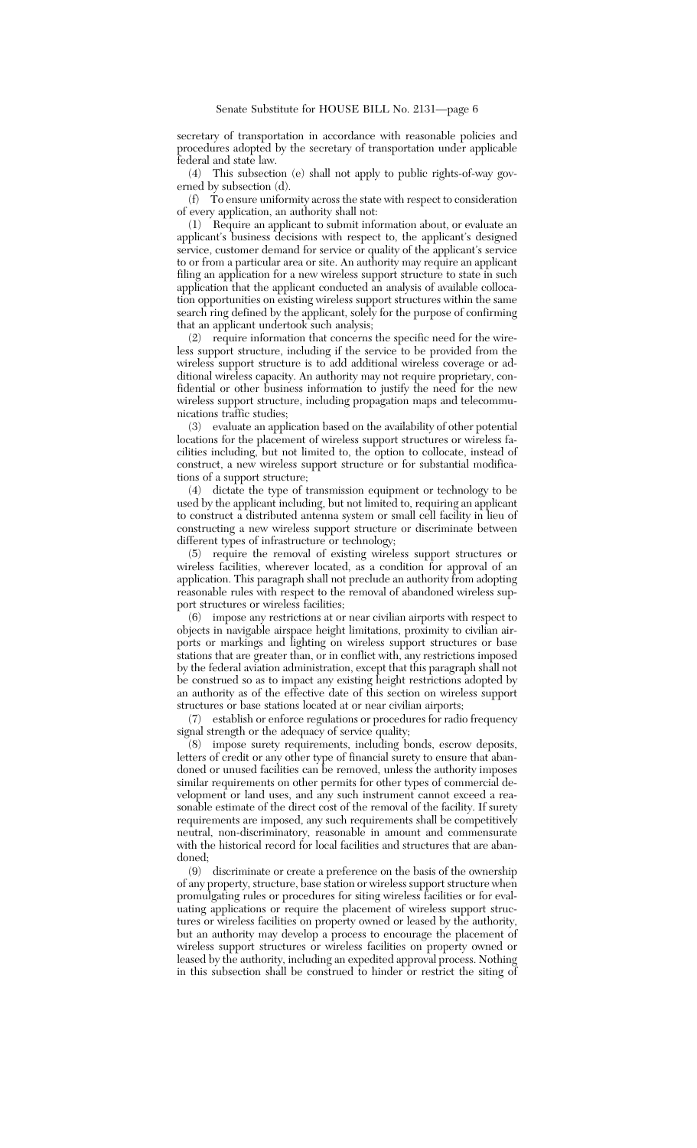secretary of transportation in accordance with reasonable policies and procedures adopted by the secretary of transportation under applicable federal and state law.

(4) This subsection (e) shall not apply to public rights-of-way governed by subsection (d).

(f) To ensure uniformity across the state with respect to consideration of every application, an authority shall not:

(1) Require an applicant to submit information about, or evaluate an applicant's business decisions with respect to, the applicant's designed service, customer demand for service or quality of the applicant's service to or from a particular area or site. An authority may require an applicant filing an application for a new wireless support structure to state in such application that the applicant conducted an analysis of available collocation opportunities on existing wireless support structures within the same search ring defined by the applicant, solely for the purpose of confirming that an applicant undertook such analysis;

(2) require information that concerns the specific need for the wireless support structure, including if the service to be provided from the wireless support structure is to add additional wireless coverage or additional wireless capacity. An authority may not require proprietary, confidential or other business information to justify the need for the new wireless support structure, including propagation maps and telecommunications traffic studies;

(3) evaluate an application based on the availability of other potential locations for the placement of wireless support structures or wireless facilities including, but not limited to, the option to collocate, instead of construct, a new wireless support structure or for substantial modifications of a support structure;

(4) dictate the type of transmission equipment or technology to be used by the applicant including, but not limited to, requiring an applicant to construct a distributed antenna system or small cell facility in lieu of constructing a new wireless support structure or discriminate between different types of infrastructure or technology;

(5) require the removal of existing wireless support structures or wireless facilities, wherever located, as a condition for approval of an application. This paragraph shall not preclude an authority from adopting reasonable rules with respect to the removal of abandoned wireless support structures or wireless facilities;

(6) impose any restrictions at or near civilian airports with respect to objects in navigable airspace height limitations, proximity to civilian airports or markings and lighting on wireless support structures or base stations that are greater than, or in conflict with, any restrictions imposed by the federal aviation administration, except that this paragraph shall not be construed so as to impact any existing height restrictions adopted by an authority as of the effective date of this section on wireless support structures or base stations located at or near civilian airports;

(7) establish or enforce regulations or procedures for radio frequency signal strength or the adequacy of service quality;

(8) impose surety requirements, including bonds, escrow deposits, letters of credit or any other type of financial surety to ensure that abandoned or unused facilities can be removed, unless the authority imposes similar requirements on other permits for other types of commercial development or land uses, and any such instrument cannot exceed a reasonable estimate of the direct cost of the removal of the facility. If surety requirements are imposed, any such requirements shall be competitively neutral, non-discriminatory, reasonable in amount and commensurate with the historical record for local facilities and structures that are abandoned;

(9) discriminate or create a preference on the basis of the ownership of any property, structure, base station or wireless support structure when promulgating rules or procedures for siting wireless facilities or for evaluating applications or require the placement of wireless support structures or wireless facilities on property owned or leased by the authority, but an authority may develop a process to encourage the placement of wireless support structures or wireless facilities on property owned or leased by the authority, including an expedited approval process. Nothing in this subsection shall be construed to hinder or restrict the siting of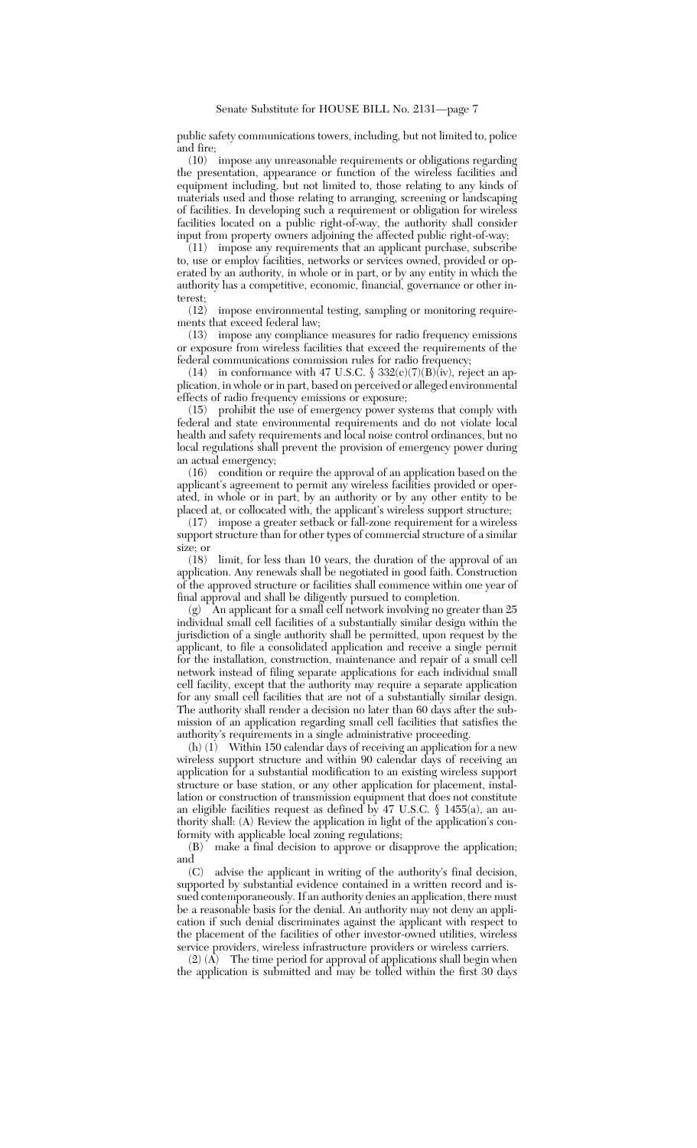public safety communications towers, including, but not limited to, police and fire;

(10) impose any unreasonable requirements or obligations regarding the presentation, appearance or function of the wireless facilities and equipment including, but not limited to, those relating to any kinds of materials used and those relating to arranging, screening or landscaping of facilities. In developing such a requirement or obligation for wireless facilities located on a public right-of-way, the authority shall consider input from property owners adjoining the affected public right-of-way;

(11) impose any requirements that an applicant purchase, subscribe to, use or employ facilities, networks or services owned, provided or operated by an authority, in whole or in part, or by any entity in which the authority has a competitive, economic, financial, governance or other interest;

(12) impose environmental testing, sampling or monitoring requirements that exceed federal law;

(13) impose any compliance measures for radio frequency emissions or exposure from wireless facilities that exceed the requirements of the federal communications commission rules for radio frequency;

(14) in conformance with 47 U.S.C.  $\$ 332(c)(7)(B)(iv)$ , reject an application, in whole or in part, based on perceived or alleged environmental effects of radio frequency emissions or exposure;

(15) prohibit the use of emergency power systems that comply with federal and state environmental requirements and do not violate local health and safety requirements and local noise control ordinances, but no local regulations shall prevent the provision of emergency power during an actual emergency;

(16) condition or require the approval of an application based on the applicant's agreement to permit any wireless facilities provided or operated, in whole or in part, by an authority or by any other entity to be placed at, or collocated with, the applicant's wireless support structure;

(17) impose a greater setback or fall-zone requirement for a wireless support structure than for other types of commercial structure of a similar size; or  $(18)$ 

limit, for less than 10 years, the duration of the approval of an application. Any renewals shall be negotiated in good faith. Construction of the approved structure or facilities shall commence within one year of final approval and shall be diligently pursued to completion.

(g)  $\hat{A}$ n applicant for a small cell network involving no greater than 25 individual small cell facilities of a substantially similar design within the jurisdiction of a single authority shall be permitted, upon request by the applicant, to file a consolidated application and receive a single permit for the installation, construction, maintenance and repair of a small cell network instead of filing separate applications for each individual small cell facility, except that the authority may require a separate application for any small cell facilities that are not of a substantially similar design. The authority shall render a decision no later than 60 days after the submission of an application regarding small cell facilities that satisfies the authority's requirements in a single administrative proceeding.

(h)  $(1)$  Within 150 calendar days of receiving an application for a new wireless support structure and within 90 calendar days of receiving an application for a substantial modification to an existing wireless support structure or base station, or any other application for placement, installation or construction of transmission equipment that does not constitute an eligible facilities request as defined by 47 U.S.C. § 1455(a), an authority shall: (A) Review the application in light of the application's conformity with applicable local zoning regulations;

(B) make a final decision to approve or disapprove the application; and  $(C)$ 

advise the applicant in writing of the authority's final decision, supported by substantial evidence contained in a written record and issued contemporaneously. If an authority denies an application, there must be a reasonable basis for the denial. An authority may not deny an application if such denial discriminates against the applicant with respect to the placement of the facilities of other investor-owned utilities, wireless service providers, wireless infrastructure providers or wireless carriers.

 $(2)$   $(\overline{A})$  The time period for approval of applications shall begin when the application is submitted and may be tolled within the first 30 days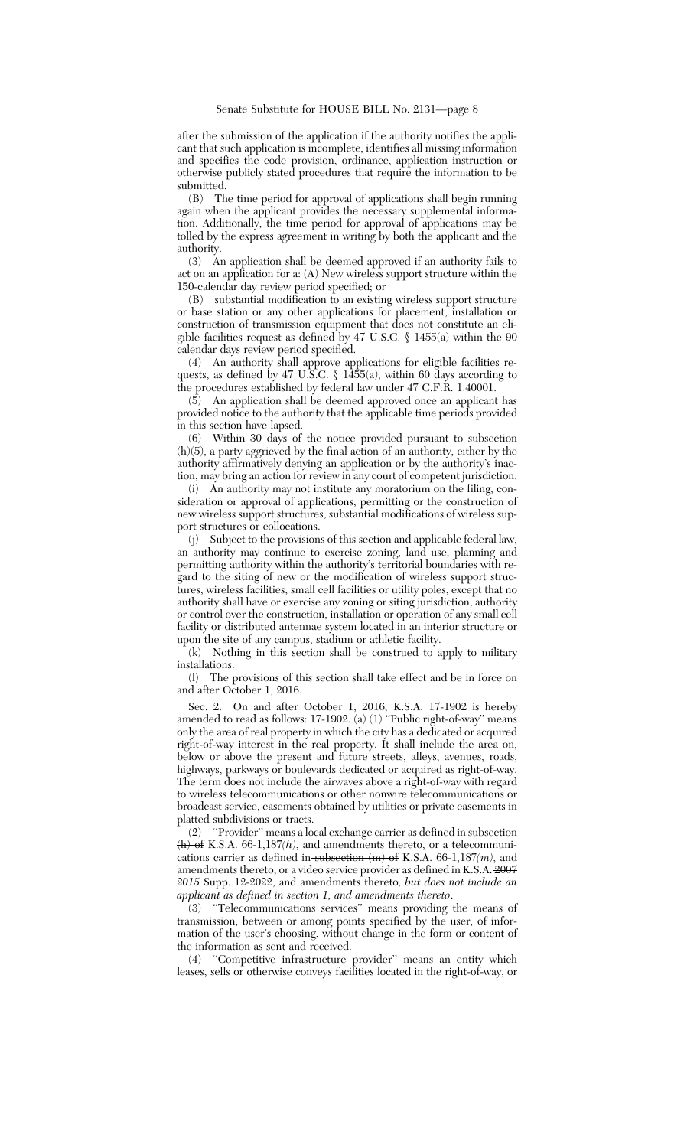after the submission of the application if the authority notifies the applicant that such application is incomplete, identifies all missing information and specifies the code provision, ordinance, application instruction or otherwise publicly stated procedures that require the information to be submitted.

(B) The time period for approval of applications shall begin running again when the applicant provides the necessary supplemental information. Additionally, the time period for approval of applications may be tolled by the express agreement in writing by both the applicant and the authority.

(3) An application shall be deemed approved if an authority fails to act on an application for a: (A) New wireless support structure within the 150-calendar day review period specified; or

(B) substantial modification to an existing wireless support structure or base station or any other applications for placement, installation or construction of transmission equipment that does not constitute an eligible facilities request as defined by 47 U.S.C. § 1455(a) within the 90 calendar days review period specified.

(4) An authority shall approve applications for eligible facilities requests, as defined by 47 U.S.C. § 1455(a), within 60 days according to the procedures established by federal law under 47 C.F.R. 1.40001.

(5) An application shall be deemed approved once an applicant has provided notice to the authority that the applicable time periods provided in this section have lapsed.

(6) Within 30 days of the notice provided pursuant to subsection (h)(5), a party aggrieved by the final action of an authority, either by the authority affirmatively denying an application or by the authority's inaction, may bring an action for review in any court of competent jurisdiction.

(i) An authority may not institute any moratorium on the filing, consideration or approval of applications, permitting or the construction of new wireless support structures, substantial modifications of wireless support structures or collocations.

(j) Subject to the provisions of this section and applicable federal law, an authority may continue to exercise zoning, land use, planning and permitting authority within the authority's territorial boundaries with regard to the siting of new or the modification of wireless support structures, wireless facilities, small cell facilities or utility poles, except that no authority shall have or exercise any zoning or siting jurisdiction, authority or control over the construction, installation or operation of any small cell facility or distributed antennae system located in an interior structure or upon the site of any campus, stadium or athletic facility.

(k) Nothing in this section shall be construed to apply to military installations.

(l) The provisions of this section shall take effect and be in force on and after October 1, 2016.

Sec. 2. On and after October 1, 2016, K.S.A. 17-1902 is hereby amended to read as follows: 17-1902. (a) (1) ''Public right-of-way'' means only the area of real property in which the city has a dedicated or acquired right-of-way interest in the real property. It shall include the area on, below or above the present and future streets, alleys, avenues, roads, highways, parkways or boulevards dedicated or acquired as right-of-way. The term does not include the airwaves above a right-of-way with regard to wireless telecommunications or other nonwire telecommunications or broadcast service, easements obtained by utilities or private easements in platted subdivisions or tracts.

(2) ''Provider'' means a local exchange carrier as defined in subsection (h) of K.S.A. 66-1,187*(h)*, and amendments thereto, or a telecommunications carrier as defined in subsection (m) of K.S.A. 66-1,187*(m)*, and amendments thereto, or a video service provider as defined in K.S.A. 2007 *2015* Supp. 12-2022, and amendments thereto*, but does not include an applicant as defined in section 1, and amendments thereto*.

(3) ''Telecommunications services'' means providing the means of transmission, between or among points specified by the user, of information of the user's choosing, without change in the form or content of the information as sent and received.

(4) ''Competitive infrastructure provider'' means an entity which leases, sells or otherwise conveys facilities located in the right-of-way, or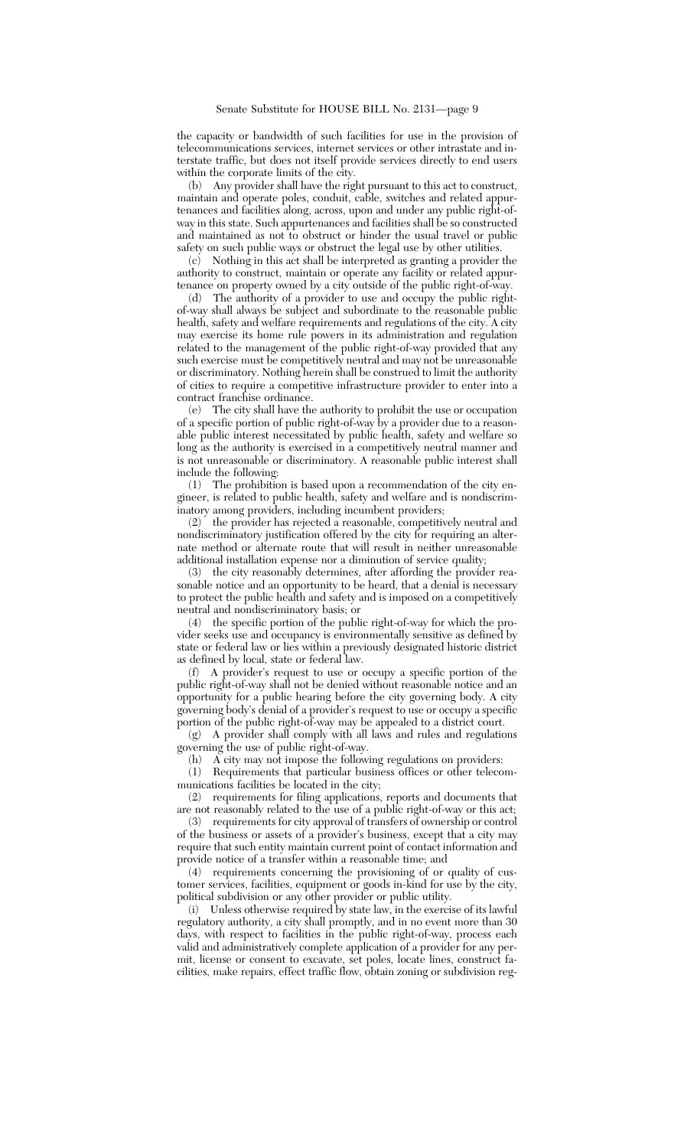the capacity or bandwidth of such facilities for use in the provision of telecommunications services, internet services or other intrastate and interstate traffic, but does not itself provide services directly to end users within the corporate limits of the city.

(b) Any provider shall have the right pursuant to this act to construct, maintain and operate poles, conduit, cable, switches and related appurtenances and facilities along, across, upon and under any public right-ofway in this state. Such appurtenances and facilities shall be so constructed and maintained as not to obstruct or hinder the usual travel or public safety on such public ways or obstruct the legal use by other utilities.

(c) Nothing in this act shall be interpreted as granting a provider the authority to construct, maintain or operate any facility or related appurtenance on property owned by a city outside of the public right-of-way.

(d) The authority of a provider to use and occupy the public rightof-way shall always be subject and subordinate to the reasonable public health, safety and welfare requirements and regulations of the city. A city may exercise its home rule powers in its administration and regulation related to the management of the public right-of-way provided that any such exercise must be competitively neutral and may not be unreasonable or discriminatory. Nothing herein shall be construed to limit the authority of cities to require a competitive infrastructure provider to enter into a contract franchise ordinance.

(e) The city shall have the authority to prohibit the use or occupation of a specific portion of public right-of-way by a provider due to a reasonable public interest necessitated by public health, safety and welfare so long as the authority is exercised in a competitively neutral manner and is not unreasonable or discriminatory. A reasonable public interest shall include the following:

(1) The prohibition is based upon a recommendation of the city engineer, is related to public health, safety and welfare and is nondiscriminatory among providers, including incumbent providers;

(2) the provider has rejected a reasonable, competitively neutral and nondiscriminatory justification offered by the city for requiring an alternate method or alternate route that will result in neither unreasonable additional installation expense nor a diminution of service quality;

(3) the city reasonably determines, after affording the provider reasonable notice and an opportunity to be heard, that a denial is necessary to protect the public health and safety and is imposed on a competitively neutral and nondiscriminatory basis; or

(4) the specific portion of the public right-of-way for which the provider seeks use and occupancy is environmentally sensitive as defined by state or federal law or lies within a previously designated historic district as defined by local, state or federal law.

(f) A provider's request to use or occupy a specific portion of the public right-of-way shall not be denied without reasonable notice and an opportunity for a public hearing before the city governing body. A city governing body's denial of a provider's request to use or occupy a specific portion of the public right-of-way may be appealed to a district court.

(g) A provider shall comply with all laws and rules and regulations governing the use of public right-of-way.

(h) A city may not impose the following regulations on providers:

(1) Requirements that particular business offices or other telecommunications facilities be located in the city;

(2) requirements for filing applications, reports and documents that are not reasonably related to the use of a public right-of-way or this act;

(3) requirements for city approval of transfers of ownership or control of the business or assets of a provider's business, except that a city may require that such entity maintain current point of contact information and provide notice of a transfer within a reasonable time; and

(4) requirements concerning the provisioning of or quality of customer services, facilities, equipment or goods in-kind for use by the city, political subdivision or any other provider or public utility.

(i) Unless otherwise required by state law, in the exercise of its lawful regulatory authority, a city shall promptly, and in no event more than 30 days, with respect to facilities in the public right-of-way, process each valid and administratively complete application of a provider for any permit, license or consent to excavate, set poles, locate lines, construct facilities, make repairs, effect traffic flow, obtain zoning or subdivision reg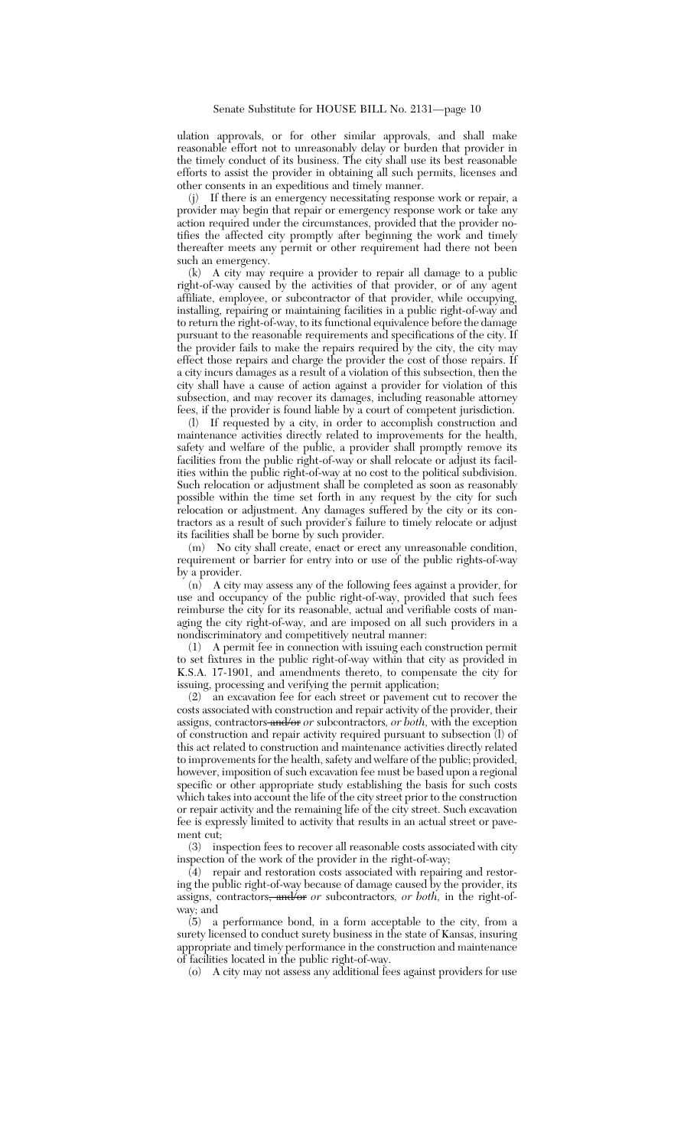ulation approvals, or for other similar approvals, and shall make reasonable effort not to unreasonably delay or burden that provider in the timely conduct of its business. The city shall use its best reasonable efforts to assist the provider in obtaining all such permits, licenses and other consents in an expeditious and timely manner.

(j) If there is an emergency necessitating response work or repair, a provider may begin that repair or emergency response work or take any action required under the circumstances, provided that the provider notifies the affected city promptly after beginning the work and timely thereafter meets any permit or other requirement had there not been such an emergency.

(k) A city may require a provider to repair all damage to a public right-of-way caused by the activities of that provider, or of any agent affiliate, employee, or subcontractor of that provider, while occupying, installing, repairing or maintaining facilities in a public right-of-way and to return the right-of-way, to its functional equivalence before the damage pursuant to the reasonable requirements and specifications of the city. If the provider fails to make the repairs required by the city, the city may effect those repairs and charge the provider the cost of those repairs. If a city incurs damages as a result of a violation of this subsection, then the city shall have a cause of action against a provider for violation of this subsection, and may recover its damages, including reasonable attorney fees, if the provider is found liable by a court of competent jurisdiction.

(l) If requested by a city, in order to accomplish construction and maintenance activities directly related to improvements for the health, safety and welfare of the public, a provider shall promptly remove its facilities from the public right-of-way or shall relocate or adjust its facilities within the public right-of-way at no cost to the political subdivision. Such relocation or adjustment shall be completed as soon as reasonably possible within the time set forth in any request by the city for such relocation or adjustment. Any damages suffered by the city or its contractors as a result of such provider's failure to timely relocate or adjust its facilities shall be borne by such provider.

(m) No city shall create, enact or erect any unreasonable condition, requirement or barrier for entry into or use of the public rights-of-way by a provider.

(n) A city may assess any of the following fees against a provider, for use and occupancy of the public right-of-way, provided that such fees reimburse the city for its reasonable, actual and verifiable costs of managing the city right-of-way, and are imposed on all such providers in a nondiscriminatory and competitively neutral manner:

(1) A permit fee in connection with issuing each construction permit to set fixtures in the public right-of-way within that city as provided in K.S.A. 17-1901, and amendments thereto, to compensate the city for issuing, processing and verifying the permit application;

 $(2)$  an excavation fee for each street or pavement cut to recover the costs associated with construction and repair activity of the provider, their assigns, contractors and/or *or* subcontractors*, or both,* with the exception of construction and repair activity required pursuant to subsection (l) of this act related to construction and maintenance activities directly related to improvements for the health, safety and welfare of the public; provided, however, imposition of such excavation fee must be based upon a regional specific or other appropriate study establishing the basis for such costs which takes into account the life of the city street prior to the construction or repair activity and the remaining life of the city street. Such excavation fee is expressly limited to activity that results in an actual street or pavement cut;

(3) inspection fees to recover all reasonable costs associated with city inspection of the work of the provider in the right-of-way;

 $(4)$  repair and restoration costs associated with repairing and restoring the public right-of-way because of damage caused by the provider, its assigns, contractors, and/or *or* subcontractors*, or both,* in the right-ofway; and

(5) a performance bond, in a form acceptable to the city, from a surety licensed to conduct surety business in the state of Kansas, insuring appropriate and timely performance in the construction and maintenance of facilities located in the public right-of-way.

(o) A city may not assess any additional fees against providers for use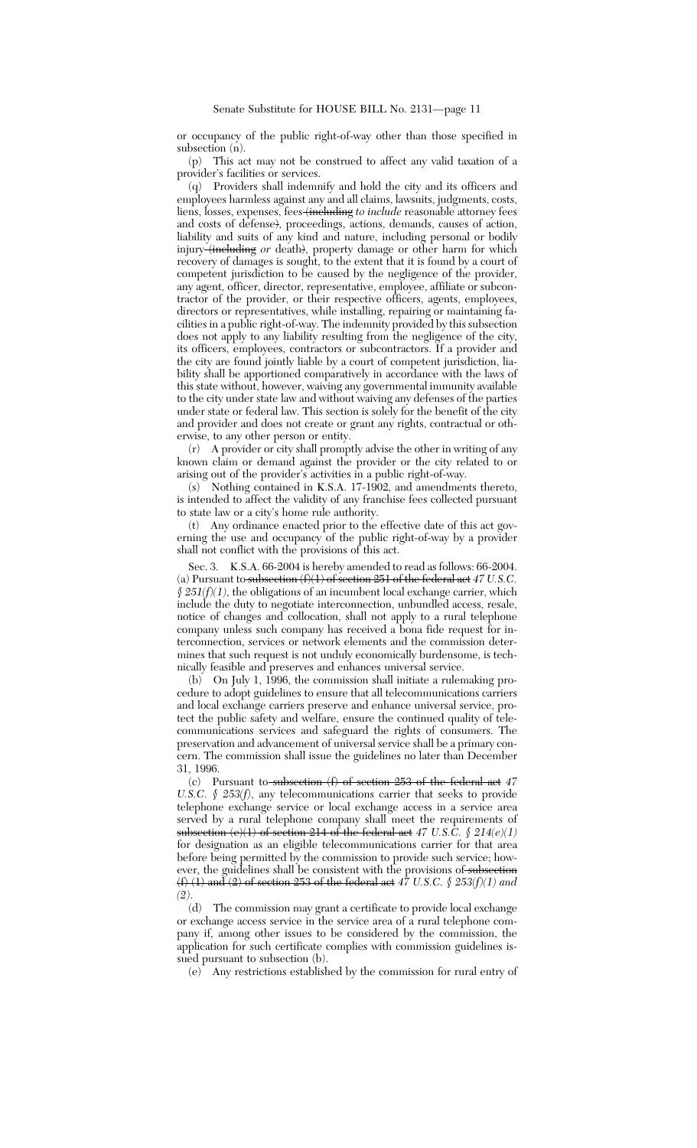or occupancy of the public right-of-way other than those specified in subsection (n).

(p) This act may not be construed to affect any valid taxation of a provider's facilities or services.

(q) Providers shall indemnify and hold the city and its officers and employees harmless against any and all claims, lawsuits, judgments, costs, liens, losses, expenses, fees (including *to include* reasonable attorney fees and costs of defense), proceedings, actions, demands, causes of action, liability and suits of any kind and nature, including personal or bodily injury (including *or* death), property damage or other harm for which recovery of damages is sought, to the extent that it is found by a court of competent jurisdiction to be caused by the negligence of the provider, any agent, officer, director, representative, employee, affiliate or subcontractor of the provider, or their respective officers, agents, employees, directors or representatives, while installing, repairing or maintaining facilities in a public right-of-way. The indemnity provided by this subsection does not apply to any liability resulting from the negligence of the city, its officers, employees, contractors or subcontractors. If a provider and the city are found jointly liable by a court of competent jurisdiction, liability shall be apportioned comparatively in accordance with the laws of this state without, however, waiving any governmental immunity available to the city under state law and without waiving any defenses of the parties under state or federal law. This section is solely for the benefit of the city and provider and does not create or grant any rights, contractual or otherwise, to any other person or entity.

(r) A provider or city shall promptly advise the other in writing of any known claim or demand against the provider or the city related to or arising out of the provider's activities in a public right-of-way.

(s) Nothing contained in K.S.A. 17-1902, and amendments thereto, is intended to affect the validity of any franchise fees collected pursuant to state law or a city's home rule authority.

(t) Any ordinance enacted prior to the effective date of this act governing the use and occupancy of the public right-of-way by a provider shall not conflict with the provisions of this act.

Sec. 3. K.S.A. 66-2004 is hereby amended to read as follows: 66-2004. (a) Pursuant to subsection (f)(1) of section 251 of the federal act *47 U.S.C. § 251(f)(1)*, the obligations of an incumbent local exchange carrier, which include the duty to negotiate interconnection, unbundled access, resale, notice of changes and collocation, shall not apply to a rural telephone company unless such company has received a bona fide request for interconnection, services or network elements and the commission determines that such request is not unduly economically burdensome, is technically feasible and preserves and enhances universal service.

(b) On July 1, 1996, the commission shall initiate a rulemaking procedure to adopt guidelines to ensure that all telecommunications carriers and local exchange carriers preserve and enhance universal service, protect the public safety and welfare, ensure the continued quality of telecommunications services and safeguard the rights of consumers. The preservation and advancement of universal service shall be a primary concern. The commission shall issue the guidelines no later than December 31, 1996.

(c) Pursuant to subsection (f) of section 253 of the federal act *47 U.S.C. § 253(f)*, any telecommunications carrier that seeks to provide telephone exchange service or local exchange access in a service area served by a rural telephone company shall meet the requirements of subsection (e)(1) of section 214 of the federal act *47 U.S.C. § 214(e)(1)* for designation as an eligible telecommunications carrier for that area before being permitted by the commission to provide such service; however, the guidelines shall be consistent with the provisions of subsection (f) (1) and (2) of section 253 of the federal act *47 U.S.C. § 253(f)(1) and (2)*.

(d) The commission may grant a certificate to provide local exchange or exchange access service in the service area of a rural telephone company if, among other issues to be considered by the commission, the application for such certificate complies with commission guidelines issued pursuant to subsection (b).

(e) Any restrictions established by the commission for rural entry of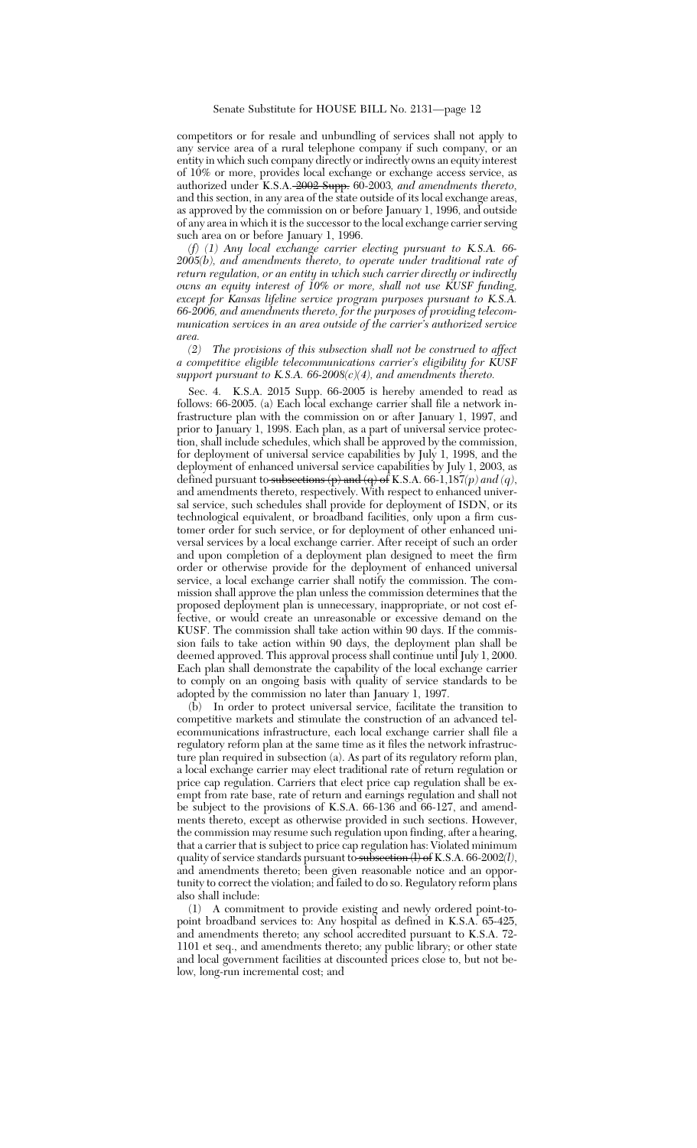competitors or for resale and unbundling of services shall not apply to any service area of a rural telephone company if such company, or an entity in which such company directly or indirectly owns an equity interest of 10% or more, provides local exchange or exchange access service, as authorized under K.S.A. 2002 Supp. 60-2003*, and amendments thereto,* and this section, in any area of the state outside of its local exchange areas, as approved by the commission on or before January 1, 1996, and outside of any area in which it is the successor to the local exchange carrier serving such area on or before January 1, 1996.

*(f) (1) Any local exchange carrier electing pursuant to K.S.A. 66- 2005(b), and amendments thereto, to operate under traditional rate of return regulation, or an entity in which such carrier directly or indirectly owns an equity interest of 10% or more, shall not use KUSF funding, except for Kansas lifeline service program purposes pursuant to K.S.A. 66-2006, and amendments thereto, for the purposes of providing telecommunication services in an area outside of the carrier's authorized service area.*

*(2) The provisions of this subsection shall not be construed to affect a competitive eligible telecommunications carrier's eligibility for KUSF support pursuant to K.S.A. 66-2008(c)(4), and amendments thereto.*

Sec. 4. K.S.A. 2015 Supp. 66-2005 is hereby amended to read as follows: 66-2005. (a) Each local exchange carrier shall file a network infrastructure plan with the commission on or after January 1, 1997, and prior to January 1, 1998. Each plan, as a part of universal service protection, shall include schedules, which shall be approved by the commission, for deployment of universal service capabilities by July 1, 1998, and the deployment of enhanced universal service capabilities by July 1, 2003, as defined pursuant to subsections (p) and (q) of K.S.A. 66-1,187*(p) and (q)*, and amendments thereto, respectively. With respect to enhanced universal service, such schedules shall provide for deployment of ISDN, or its technological equivalent, or broadband facilities, only upon a firm customer order for such service, or for deployment of other enhanced universal services by a local exchange carrier. After receipt of such an order and upon completion of a deployment plan designed to meet the firm order or otherwise provide for the deployment of enhanced universal service, a local exchange carrier shall notify the commission. The commission shall approve the plan unless the commission determines that the proposed deployment plan is unnecessary, inappropriate, or not cost effective, or would create an unreasonable or excessive demand on the KUSF. The commission shall take action within 90 days. If the commission fails to take action within 90 days, the deployment plan shall be deemed approved. This approval process shall continue until July 1, 2000. Each plan shall demonstrate the capability of the local exchange carrier to comply on an ongoing basis with quality of service standards to be adopted by the commission no later than January 1, 1997.

(b) In order to protect universal service, facilitate the transition to competitive markets and stimulate the construction of an advanced telecommunications infrastructure, each local exchange carrier shall file a regulatory reform plan at the same time as it files the network infrastructure plan required in subsection (a). As part of its regulatory reform plan, a local exchange carrier may elect traditional rate of return regulation or price cap regulation. Carriers that elect price cap regulation shall be exempt from rate base, rate of return and earnings regulation and shall not be subject to the provisions of K.S.A. 66-136 and 66-127, and amendments thereto, except as otherwise provided in such sections. However, the commission may resume such regulation upon finding, after a hearing, that a carrier that is subject to price cap regulation has: Violated minimum quality of service standards pursuant to subsection (l) of K.S.A. 66-2002*(l)*, and amendments thereto; been given reasonable notice and an opportunity to correct the violation; and failed to do so. Regulatory reform plans also shall include:

(1) A commitment to provide existing and newly ordered point-topoint broadband services to: Any hospital as defined in K.S.A. 65-425, and amendments thereto; any school accredited pursuant to K.S.A. 72- 1101 et seq., and amendments thereto; any public library; or other state and local government facilities at discounted prices close to, but not below, long-run incremental cost; and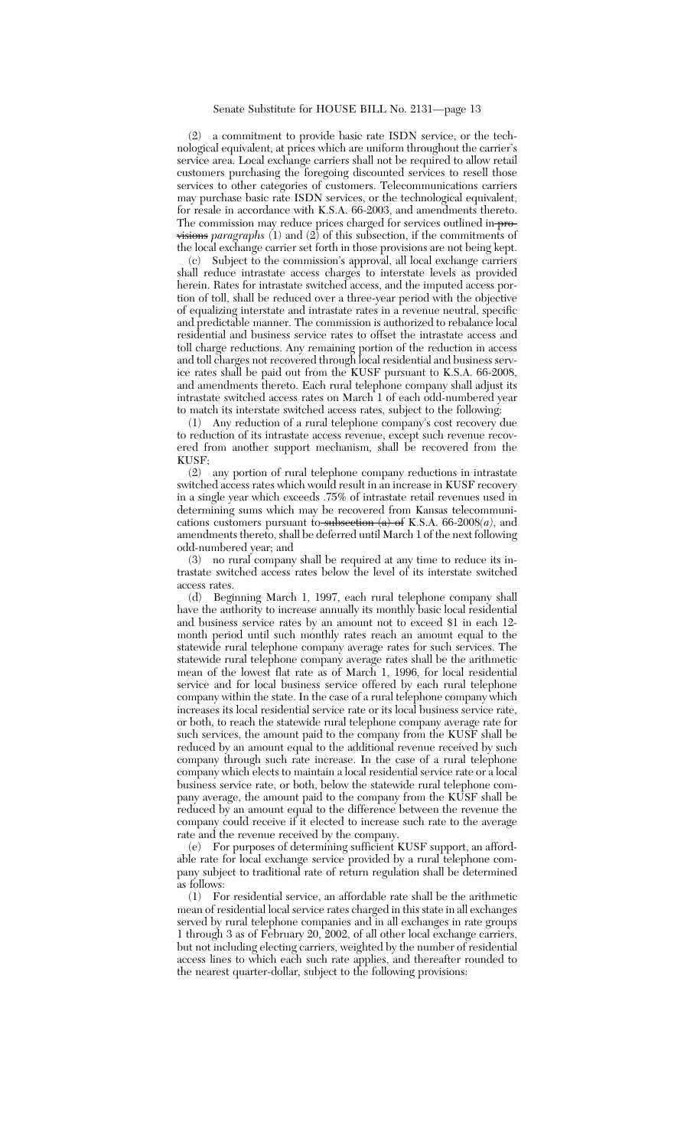(2) a commitment to provide basic rate ISDN service, or the technological equivalent, at prices which are uniform throughout the carrier's service area. Local exchange carriers shall not be required to allow retail customers purchasing the foregoing discounted services to resell those services to other categories of customers. Telecommunications carriers may purchase basic rate ISDN services, or the technological equivalent, for resale in accordance with K.S.A. 66-2003, and amendments thereto. The commission may reduce prices charged for services outlined in<del>-pro-</del> visions *paragraphs* (1) and (2) of this subsection, if the commitments of the local exchange carrier set forth in those provisions are not being kept.

(c) Subject to the commission's approval, all local exchange carriers shall reduce intrastate access charges to interstate levels as provided herein. Rates for intrastate switched access, and the imputed access portion of toll, shall be reduced over a three-year period with the objective of equalizing interstate and intrastate rates in a revenue neutral, specific and predictable manner. The commission is authorized to rebalance local residential and business service rates to offset the intrastate access and toll charge reductions. Any remaining portion of the reduction in access and toll charges not recovered through local residential and business service rates shall be paid out from the KUSF pursuant to K.S.A. 66-2008, and amendments thereto. Each rural telephone company shall adjust its intrastate switched access rates on March 1 of each odd-numbered year to match its interstate switched access rates, subject to the following:<br>(1) Any reduction of a rural telephone company's cost recovery

Any reduction of a rural telephone company's cost recovery due to reduction of its intrastate access revenue, except such revenue recovered from another support mechanism, shall be recovered from the KUSF;

(2) any portion of rural telephone company reductions in intrastate switched access rates which would result in an increase in KUSF recovery in a single year which exceeds .75% of intrastate retail revenues used in determining sums which may be recovered from Kansas telecommunications customers pursuant to subsection  $(a)$  of K.S.A. 66-2008 $(a)$ , and amendments thereto, shall be deferred until March 1 of the next following odd-numbered year; and

(3) no rural company shall be required at any time to reduce its intrastate switched access rates below the level of its interstate switched access rates.

(d) Beginning March 1, 1997, each rural telephone company shall have the authority to increase annually its monthly basic local residential and business service rates by an amount not to exceed \$1 in each 12 month period until such monthly rates reach an amount equal to the statewide rural telephone company average rates for such services. The statewide rural telephone company average rates shall be the arithmetic mean of the lowest flat rate as of March 1, 1996, for local residential service and for local business service offered by each rural telephone company within the state. In the case of a rural telephone company which increases its local residential service rate or its local business service rate, or both, to reach the statewide rural telephone company average rate for such services, the amount paid to the company from the KUSF shall be reduced by an amount equal to the additional revenue received by such company through such rate increase. In the case of a rural telephone company which elects to maintain a local residential service rate or a local business service rate, or both, below the statewide rural telephone company average, the amount paid to the company from the KUSF shall be reduced by an amount equal to the difference between the revenue the company could receive if it elected to increase such rate to the average rate and the revenue received by the company.

(e) For purposes of determining sufficient KUSF support, an affordable rate for local exchange service provided by a rural telephone company subject to traditional rate of return regulation shall be determined as follows:

(1) For residential service, an affordable rate shall be the arithmetic mean of residential local service rates charged in this state in all exchanges served by rural telephone companies and in all exchanges in rate groups 1 through 3 as of February 20, 2002, of all other local exchange carriers, but not including electing carriers, weighted by the number of residential access lines to which each such rate applies, and thereafter rounded to the nearest quarter-dollar, subject to the following provisions: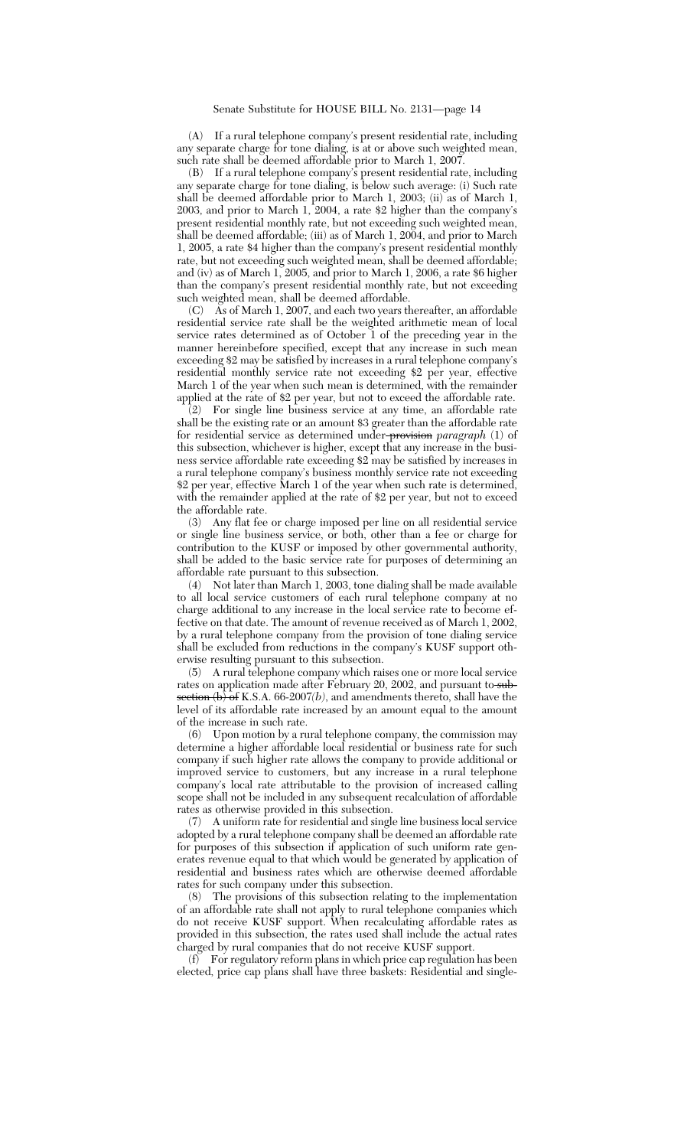(A) If a rural telephone company's present residential rate, including any separate charge for tone dialing, is at or above such weighted mean, such rate shall be deemed affordable prior to March 1, 2007.

(B) If a rural telephone company's present residential rate, including any separate charge for tone dialing, is below such average: (i) Such rate shall be deemed affordable prior to March 1, 2003; (ii) as of March 1, 2003, and prior to March 1, 2004, a rate \$2 higher than the company's present residential monthly rate, but not exceeding such weighted mean, shall be deemed affordable; (iii) as of March 1, 2004, and prior to March 1, 2005, a rate \$4 higher than the company's present residential monthly rate, but not exceeding such weighted mean, shall be deemed affordable; and (iv) as of March 1, 2005, and prior to March 1, 2006, a rate \$6 higher than the company's present residential monthly rate, but not exceeding such weighted mean, shall be deemed affordable.

(C) As of March 1, 2007, and each two years thereafter, an affordable residential service rate shall be the weighted arithmetic mean of local service rates determined as of October 1 of the preceding year in the manner hereinbefore specified, except that any increase in such mean exceeding \$2 may be satisfied by increases in a rural telephone company's residential monthly service rate not exceeding \$2 per year, effective March 1 of the year when such mean is determined, with the remainder applied at the rate of \$2 per year, but not to exceed the affordable rate.

(2) For single line business service at any time, an affordable rate shall be the existing rate or an amount \$3 greater than the affordable rate for residential service as determined under provision *paragraph* (1) of this subsection, whichever is higher, except that any increase in the business service affordable rate exceeding \$2 may be satisfied by increases in a rural telephone company's business monthly service rate not exceeding \$2 per year, effective March 1 of the year when such rate is determined, with the remainder applied at the rate of \$2 per year, but not to exceed the affordable rate.<br>(3) Any flat fee

Any flat fee or charge imposed per line on all residential service or single line business service, or both, other than a fee or charge for contribution to the KUSF or imposed by other governmental authority, shall be added to the basic service rate for purposes of determining an affordable rate pursuant to this subsection.

(4) Not later than March 1, 2003, tone dialing shall be made available to all local service customers of each rural telephone company at no charge additional to any increase in the local service rate to become effective on that date. The amount of revenue received as of March 1, 2002, by a rural telephone company from the provision of tone dialing service shall be excluded from reductions in the company's KUSF support otherwise resulting pursuant to this subsection.

(5) A rural telephone company which raises one or more local service rates on application made after February 20, 2002, and pursuant to subsection  $(b)$  of K.S.A. 66-2007(*b*), and amendments thereto, shall have the level of its affordable rate increased by an amount equal to the amount of the increase in such rate.

(6) Upon motion by a rural telephone company, the commission may determine a higher affordable local residential or business rate for such company if such higher rate allows the company to provide additional or improved service to customers, but any increase in a rural telephone company's local rate attributable to the provision of increased calling scope shall not be included in any subsequent recalculation of affordable rates as otherwise provided in this subsection.

(7) A uniform rate for residential and single line business local service adopted by a rural telephone company shall be deemed an affordable rate for purposes of this subsection if application of such uniform rate generates revenue equal to that which would be generated by application of residential and business rates which are otherwise deemed affordable rates for such company under this subsection.

(8) The provisions of this subsection relating to the implementation of an affordable rate shall not apply to rural telephone companies which do not receive KUSF support. When recalculating affordable rates as provided in this subsection, the rates used shall include the actual rates charged by rural companies that do not receive KUSF support.

(f) For regulatory reform plans in which price cap regulation has been elected, price cap plans shall have three baskets: Residential and single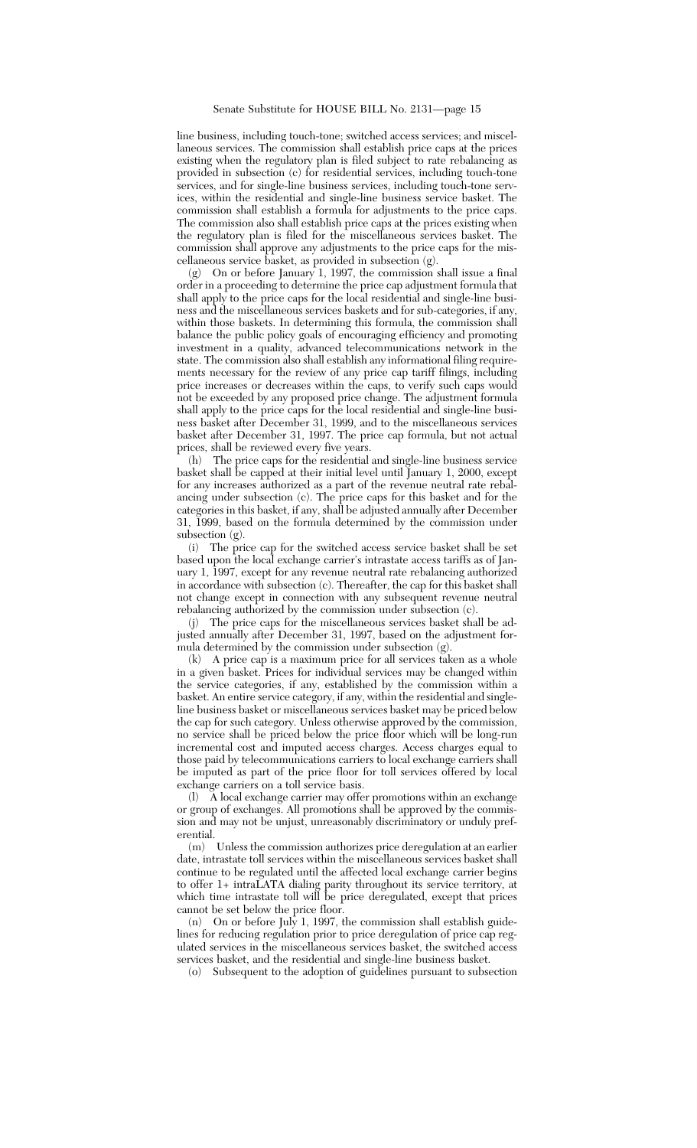line business, including touch-tone; switched access services; and miscellaneous services. The commission shall establish price caps at the prices existing when the regulatory plan is filed subject to rate rebalancing as provided in subsection (c) for residential services, including touch-tone services, and for single-line business services, including touch-tone services, within the residential and single-line business service basket. The commission shall establish a formula for adjustments to the price caps. The commission also shall establish price caps at the prices existing when the regulatory plan is filed for the miscellaneous services basket. The commission shall approve any adjustments to the price caps for the miscellaneous service basket, as provided in subsection (g).

(g) On or before January 1, 1997, the commission shall issue a final order in a proceeding to determine the price cap adjustment formula that shall apply to the price caps for the local residential and single-line business and the miscellaneous services baskets and for sub-categories, if any, within those baskets. In determining this formula, the commission shall balance the public policy goals of encouraging efficiency and promoting investment in a quality, advanced telecommunications network in the state. The commission also shall establish any informational filing requirements necessary for the review of any price cap tariff filings, including price increases or decreases within the caps, to verify such caps would not be exceeded by any proposed price change. The adjustment formula shall apply to the price caps for the local residential and single-line business basket after December 31, 1999, and to the miscellaneous services basket after December 31, 1997. The price cap formula, but not actual prices, shall be reviewed every five years.

(h) The price caps for the residential and single-line business service basket shall be capped at their initial level until January 1, 2000, except for any increases authorized as a part of the revenue neutral rate rebalancing under subsection (c). The price caps for this basket and for the categories in this basket, if any, shall be adjusted annually after December 31, 1999, based on the formula determined by the commission under subsection (g).

(i) The price cap for the switched access service basket shall be set based upon the local exchange carrier's intrastate access tariffs as of January 1, 1997, except for any revenue neutral rate rebalancing authorized in accordance with subsection (c). Thereafter, the cap for this basket shall not change except in connection with any subsequent revenue neutral rebalancing authorized by the commission under subsection (c).

(j) The price caps for the miscellaneous services basket shall be adjusted annually after December 31, 1997, based on the adjustment formula determined by the commission under subsection  $(g)$ .

(k) A price cap is a maximum price for all services taken as a whole in a given basket. Prices for individual services may be changed within the service categories, if any, established by the commission within a basket. An entire service category, if any, within the residential and singleline business basket or miscellaneous services basket may be priced below the cap for such category. Unless otherwise approved by the commission, no service shall be priced below the price floor which will be long-run incremental cost and imputed access charges. Access charges equal to those paid by telecommunications carriers to local exchange carriers shall be imputed as part of the price floor for toll services offered by local exchange carriers on a toll service basis.

(l) A local exchange carrier may offer promotions within an exchange or group of exchanges. All promotions shall be approved by the commission and may not be unjust, unreasonably discriminatory or unduly preferential.

(m) Unless the commission authorizes price deregulation at an earlier date, intrastate toll services within the miscellaneous services basket shall continue to be regulated until the affected local exchange carrier begins to offer 1+ intraLATA dialing parity throughout its service territory, at which time intrastate toll will be price deregulated, except that prices cannot be set below the price floor.

(n) On or before July 1, 1997, the commission shall establish guidelines for reducing regulation prior to price deregulation of price cap regulated services in the miscellaneous services basket, the switched access services basket, and the residential and single-line business basket.

(o) Subsequent to the adoption of guidelines pursuant to subsection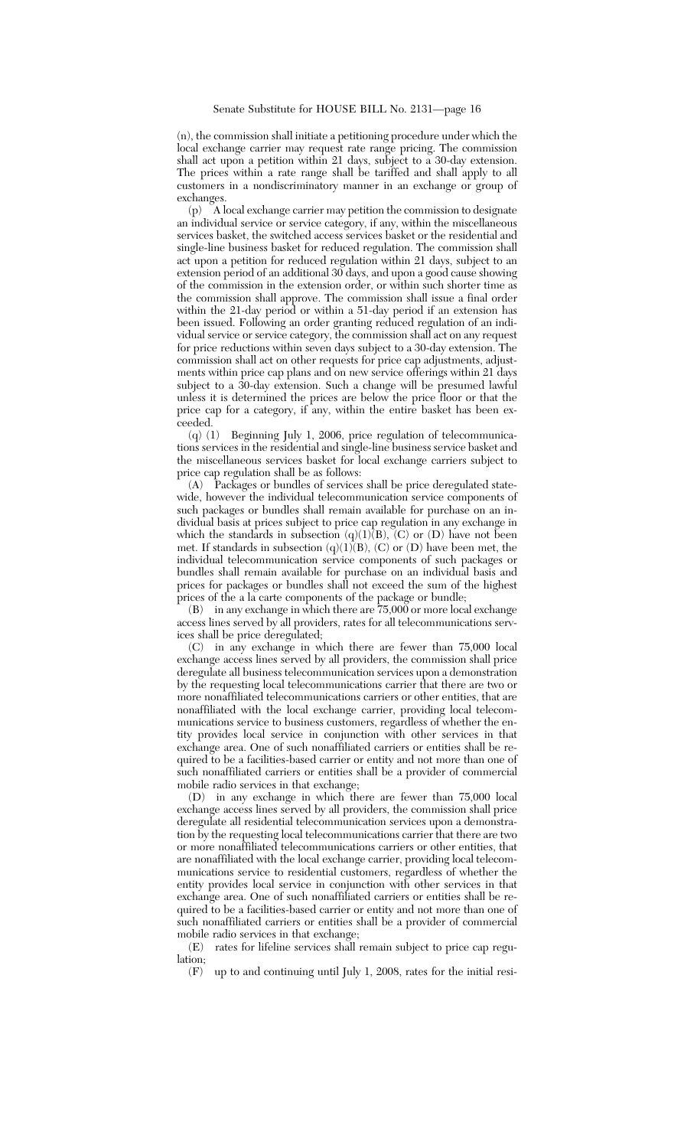(n), the commission shall initiate a petitioning procedure under which the local exchange carrier may request rate range pricing. The commission shall act upon a petition within 21 days, subject to a 30-day extension. The prices within a rate range shall be tariffed and shall apply to all customers in a nondiscriminatory manner in an exchange or group of exchanges.

(p) A local exchange carrier may petition the commission to designate an individual service or service category, if any, within the miscellaneous services basket, the switched access services basket or the residential and single-line business basket for reduced regulation. The commission shall act upon a petition for reduced regulation within 21 days, subject to an extension period of an additional 30 days, and upon a good cause showing of the commission in the extension order, or within such shorter time as the commission shall approve. The commission shall issue a final order within the 21-day period or within a 51-day period if an extension has been issued. Following an order granting reduced regulation of an individual service or service category, the commission shall act on any request for price reductions within seven days subject to a 30-day extension. The commission shall act on other requests for price cap adjustments, adjustments within price cap plans and on new service offerings within 21 days subject to a 30-day extension. Such a change will be presumed lawful unless it is determined the prices are below the price floor or that the price cap for a category, if any, within the entire basket has been exceeded.

(q) (1) Beginning July 1, 2006, price regulation of telecommunications services in the residential and single-line business service basket and the miscellaneous services basket for local exchange carriers subject to price cap regulation shall be as follows:

(A) Packages or bundles of services shall be price deregulated statewide, however the individual telecommunication service components of such packages or bundles shall remain available for purchase on an individual basis at prices subject to price cap regulation in any exchange in which the standards in subsection  $(q)(1)(B)$ ,  $(C)$  or  $(D)$  have not been met. If standards in subsection  $(q)(1)(B)$ ,  $(C)$  or  $(D)$  have been met, the individual telecommunication service components of such packages or bundles shall remain available for purchase on an individual basis and prices for packages or bundles shall not exceed the sum of the highest prices of the a la carte components of the package or bundle;

(B) in any exchange in which there are 75,000 or more local exchange access lines served by all providers, rates for all telecommunications services shall be price deregulated;

(C) in any exchange in which there are fewer than 75,000 local exchange access lines served by all providers, the commission shall price deregulate all business telecommunication services upon a demonstration by the requesting local telecommunications carrier that there are two or more nonaffiliated telecommunications carriers or other entities, that are nonaffiliated with the local exchange carrier, providing local telecommunications service to business customers, regardless of whether the entity provides local service in conjunction with other services in that exchange area. One of such nonaffiliated carriers or entities shall be required to be a facilities-based carrier or entity and not more than one of such nonaffiliated carriers or entities shall be a provider of commercial mobile radio services in that exchange;

(D) in any exchange in which there are fewer than 75,000 local exchange access lines served by all providers, the commission shall price deregulate all residential telecommunication services upon a demonstration by the requesting local telecommunications carrier that there are two or more nonaffiliated telecommunications carriers or other entities, that are nonaffiliated with the local exchange carrier, providing local telecommunications service to residential customers, regardless of whether the entity provides local service in conjunction with other services in that exchange area. One of such nonaffiliated carriers or entities shall be required to be a facilities-based carrier or entity and not more than one of such nonaffiliated carriers or entities shall be a provider of commercial mobile radio services in that exchange;

(E) rates for lifeline services shall remain subject to price cap regulation;

(F) up to and continuing until July 1, 2008, rates for the initial resi-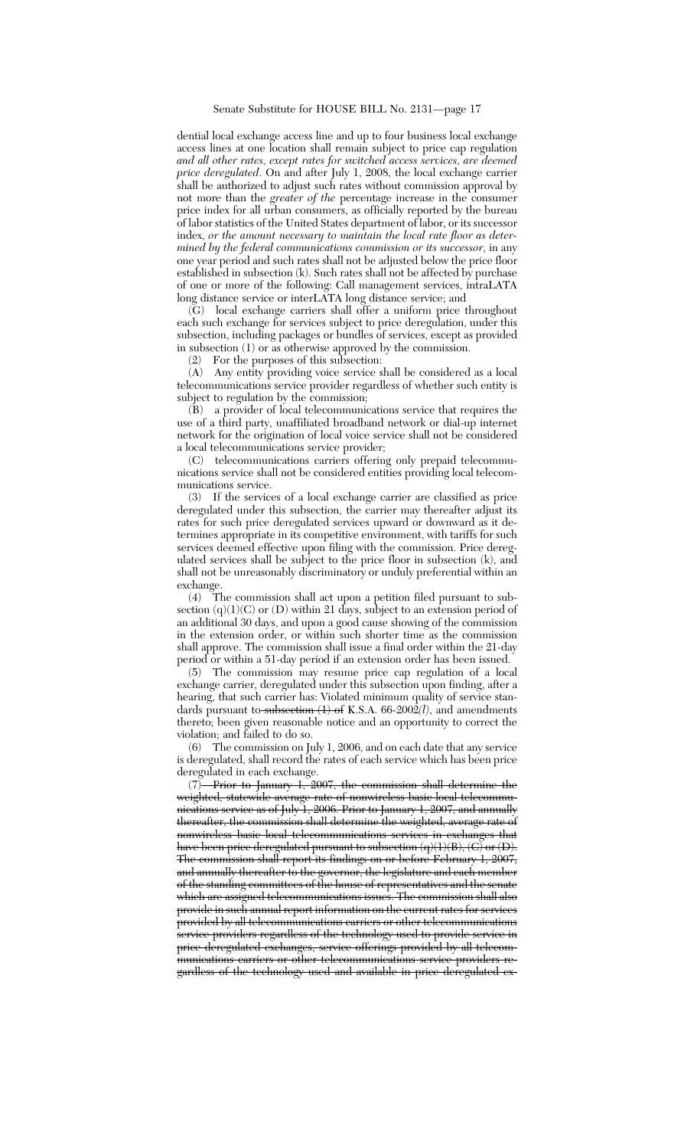dential local exchange access line and up to four business local exchange access lines at one location shall remain subject to price cap regulation *and all other rates, except rates for switched access services, are deemed price deregulated*. On and after July 1, 2008, the local exchange carrier shall be authorized to adjust such rates without commission approval by not more than the *greater of the* percentage increase in the consumer price index for all urban consumers, as officially reported by the bureau of labor statistics of the United States department of labor, or its successor index, *or the amount necessary to maintain the local rate floor as determined by the federal communications commission or its successor,* in any one year period and such rates shall not be adjusted below the price floor established in subsection (k). Such rates shall not be affected by purchase of one or more of the following: Call management services, intraLATA long distance service or interLATA long distance service; and

(G) local exchange carriers shall offer a uniform price throughout each such exchange for services subject to price deregulation, under this subsection, including packages or bundles of services, except as provided in subsection (1) or as otherwise approved by the commission.

(2) For the purposes of this subsection:

(A) Any entity providing voice service shall be considered as a local telecommunications service provider regardless of whether such entity is subject to regulation by the commission;

 $(B)$  a provider of local telecommunications service that requires the use of a third party, unaffiliated broadband network or dial-up internet network for the origination of local voice service shall not be considered a local telecommunications service provider;

(C) telecommunications carriers offering only prepaid telecommunications service shall not be considered entities providing local telecommunications service.

(3) If the services of a local exchange carrier are classified as price deregulated under this subsection, the carrier may thereafter adjust its rates for such price deregulated services upward or downward as it determines appropriate in its competitive environment, with tariffs for such services deemed effective upon filing with the commission. Price deregulated services shall be subject to the price floor in subsection (k), and shall not be unreasonably discriminatory or unduly preferential within an exchange.

(4) The commission shall act upon a petition filed pursuant to subsection (q)(1)(C) or (D) within 21 days, subject to an extension period of an additional 30 days, and upon a good cause showing of the commission in the extension order, or within such shorter time as the commission shall approve. The commission shall issue a final order within the 21-day period or within a 51-day period if an extension order has been issued.

(5) The commission may resume price cap regulation of a local exchange carrier, deregulated under this subsection upon finding, after a hearing, that such carrier has: Violated minimum quality of service standards pursuant to subsection (1) of K.S.A. 66-2002*(l)*, and amendments thereto; been given reasonable notice and an opportunity to correct the violation; and failed to do so.

(6) The commission on July 1, 2006, and on each date that any service is deregulated, shall record the rates of each service which has been price deregulated in each exchange.

(7) Prior to January 1, 2007, the commission shall determine the weighted, statewide average rate of nonwireless basic local telecommunications service as of July 1, 2006. Prior to January 1, 2007, and annually thereafter, the commission shall determine the weighted, average rate of nonwireless basic local telecommunications services in exchanges that have been price deregulated pursuant to subsection  $(q)(1)(B)$ ,  $\langle C \rangle$  or  $\langle D \rangle$ . The commission shall report its findings on or before February 1, 2007, and annually thereafter to the governor, the legislature and each member of the standing committees of the house of representatives and the senate which are assigned telecommunications issues. The commission shall also provide in such annual report information on the current rates for services provided by all telecommunications carriers or other telecommunications service providers regardless of the technology used to provide service in price deregulated exchanges, service offerings provided by all telecommunications carriers or other telecommunications service providers regardless of the technology used and available in price deregulated ex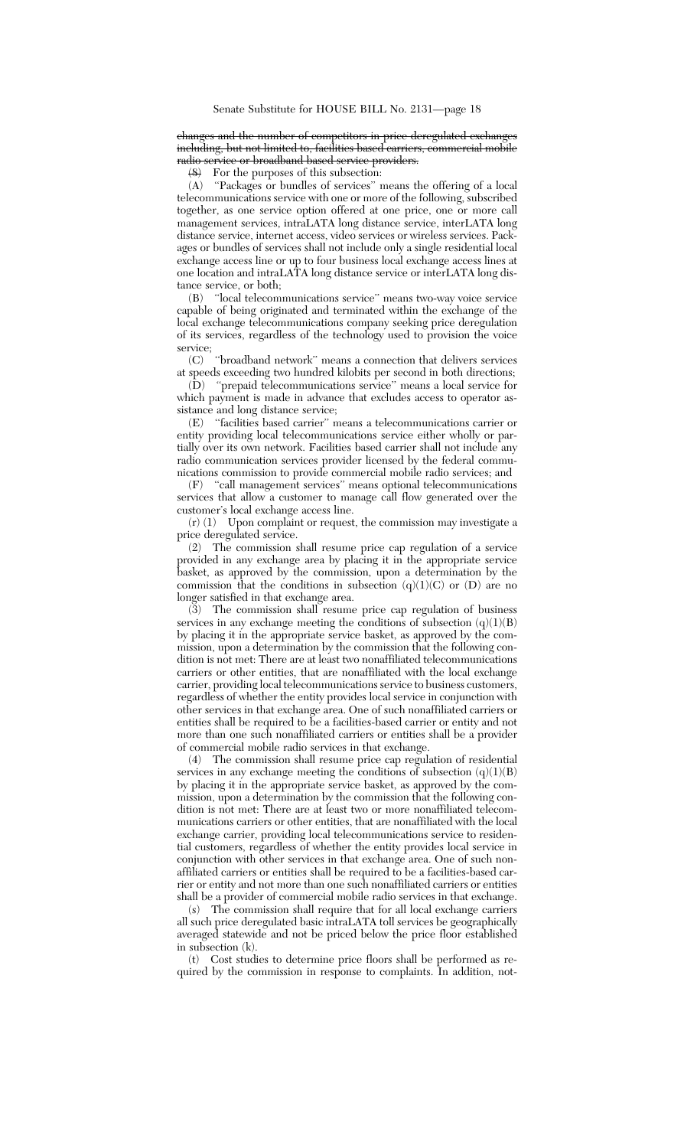changes and the number of competitors in price deregulated exchange including, but not limited to, facilities based carriers, commercial mobile radio service or broadband based service providers.

(8) For the purposes of this subsection:

(A) ''Packages or bundles of services'' means the offering of a local telecommunications service with one or more of the following, subscribed together, as one service option offered at one price, one or more call management services, intraLATA long distance service, interLATA long distance service, internet access, video services or wireless services. Packages or bundles of services shall not include only a single residential local exchange access line or up to four business local exchange access lines at one location and intraLATA long distance service or interLATA long distance service, or both;

(B) ''local telecommunications service'' means two-way voice service capable of being originated and terminated within the exchange of the local exchange telecommunications company seeking price deregulation of its services, regardless of the technology used to provision the voice service;

(C) ''broadband network'' means a connection that delivers services at speeds exceeding two hundred kilobits per second in both directions;

(D) ''prepaid telecommunications service'' means a local service for which payment is made in advance that excludes access to operator assistance and long distance service;

(E) ''facilities based carrier'' means a telecommunications carrier or entity providing local telecommunications service either wholly or partially over its own network. Facilities based carrier shall not include any radio communication services provider licensed by the federal communications commission to provide commercial mobile radio services; and

(F) ''call management services'' means optional telecommunications services that allow a customer to manage call flow generated over the customer's local exchange access line.

(r) (1) Upon complaint or request, the commission may investigate a price deregulated service.

(2) The commission shall resume price cap regulation of a service provided in any exchange area by placing it in the appropriate service basket, as approved by the commission, upon a determination by the commission that the conditions in subsection  $(q)(1)(C)$  or  $(D)$  are no longer satisfied in that exchange area.

(3) The commission shall resume price cap regulation of business services in any exchange meeting the conditions of subsection  $(q)(1)(B)$ by placing it in the appropriate service basket, as approved by the commission, upon a determination by the commission that the following condition is not met: There are at least two nonaffiliated telecommunications carriers or other entities, that are nonaffiliated with the local exchange carrier, providing local telecommunications service to business customers, regardless of whether the entity provides local service in conjunction with other services in that exchange area. One of such nonaffiliated carriers or entities shall be required to be a facilities-based carrier or entity and not more than one such nonaffiliated carriers or entities shall be a provider of commercial mobile radio services in that exchange.

(4) The commission shall resume price cap regulation of residential services in any exchange meeting the conditions of subsection  $(q)(1)(B)$ by placing it in the appropriate service basket, as approved by the commission, upon a determination by the commission that the following condition is not met: There are at least two or more nonaffiliated telecommunications carriers or other entities, that are nonaffiliated with the local exchange carrier, providing local telecommunications service to residential customers, regardless of whether the entity provides local service in conjunction with other services in that exchange area. One of such nonaffiliated carriers or entities shall be required to be a facilities-based carrier or entity and not more than one such nonaffiliated carriers or entities shall be a provider of commercial mobile radio services in that exchange.

(s) The commission shall require that for all local exchange carriers all such price deregulated basic intraLATA toll services be geographically averaged statewide and not be priced below the price floor established in subsection (k).

(t) Cost studies to determine price floors shall be performed as required by the commission in response to complaints. In addition, not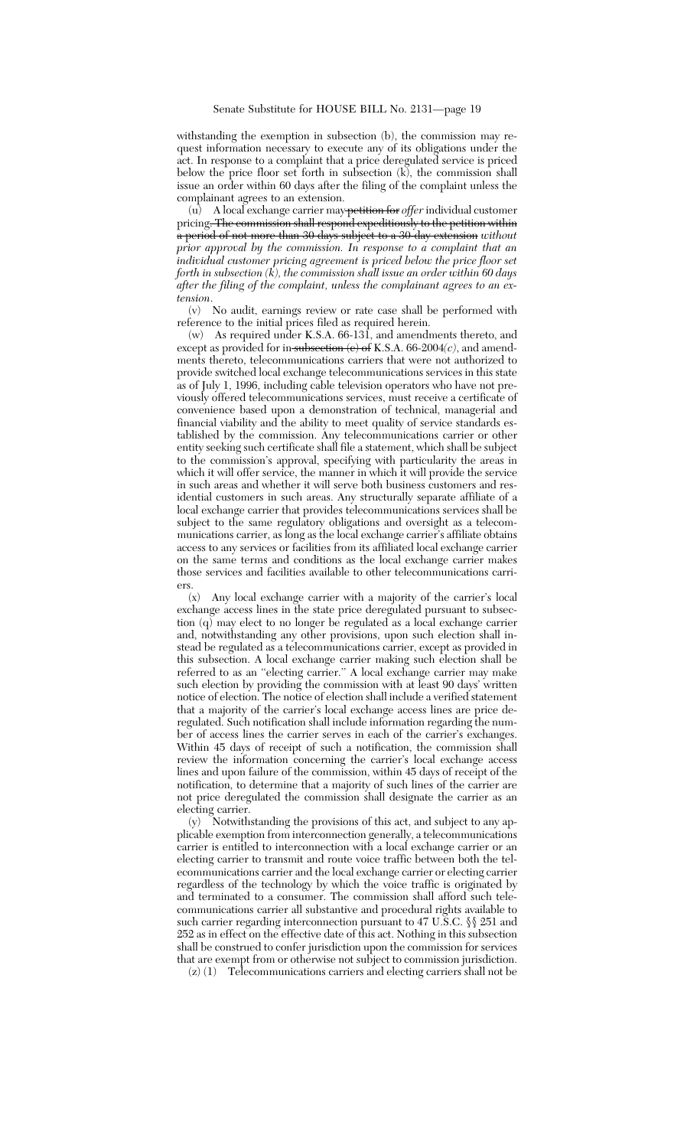withstanding the exemption in subsection (b), the commission may request information necessary to execute any of its obligations under the act. In response to a complaint that a price deregulated service is priced below the price floor set forth in subsection (k), the commission shall issue an order within 60 days after the filing of the complaint unless the complainant agrees to an extension.

(u) A local exchange carrier may petition for *offer* individual customer pricing<del>. The commission shall respond expeditiously to the petition within</del> a period of not more than 30 days subject to a 30-day extension *without prior approval by the commission. In response to a complaint that an individual customer pricing agreement is priced below the price floor set forth in subsection (k), the commission shall issue an order within 60 days after the filing of the complaint, unless the complainant agrees to an extension*.

(v) No audit, earnings review or rate case shall be performed with reference to the initial prices filed as required herein.

(w) As required under K.S.A. 66-131, and amendments thereto, and except as provided for in subsection  $\langle e \rangle$  of K.S.A. 66-2004 $\langle c \rangle$ , and amendments thereto, telecommunications carriers that were not authorized to provide switched local exchange telecommunications services in this state as of July 1, 1996, including cable television operators who have not previously offered telecommunications services, must receive a certificate of convenience based upon a demonstration of technical, managerial and financial viability and the ability to meet quality of service standards established by the commission. Any telecommunications carrier or other entity seeking such certificate shall file a statement, which shall be subject to the commission's approval, specifying with particularity the areas in which it will offer service, the manner in which it will provide the service in such areas and whether it will serve both business customers and residential customers in such areas. Any structurally separate affiliate of a local exchange carrier that provides telecommunications services shall be subject to the same regulatory obligations and oversight as a telecommunications carrier, as long as the local exchange carrier's affiliate obtains access to any services or facilities from its affiliated local exchange carrier on the same terms and conditions as the local exchange carrier makes those services and facilities available to other telecommunications carriers.

(x) Any local exchange carrier with a majority of the carrier's local exchange access lines in the state price deregulated pursuant to subsection  $(q)$  may elect to no longer be regulated as a local exchange carrier and, notwithstanding any other provisions, upon such election shall instead be regulated as a telecommunications carrier, except as provided in this subsection. A local exchange carrier making such election shall be referred to as an ''electing carrier.'' A local exchange carrier may make such election by providing the commission with at least 90 days' written notice of election. The notice of election shall include a verified statement that a majority of the carrier's local exchange access lines are price deregulated. Such notification shall include information regarding the number of access lines the carrier serves in each of the carrier's exchanges. Within 45 days of receipt of such a notification, the commission shall review the information concerning the carrier's local exchange access lines and upon failure of the commission, within 45 days of receipt of the notification, to determine that a majority of such lines of the carrier are not price deregulated the commission shall designate the carrier as an electing carrier.

(y) Notwithstanding the provisions of this act, and subject to any applicable exemption from interconnection generally, a telecommunications carrier is entitled to interconnection with a local exchange carrier or an electing carrier to transmit and route voice traffic between both the telecommunications carrier and the local exchange carrier or electing carrier regardless of the technology by which the voice traffic is originated by and terminated to a consumer. The commission shall afford such telecommunications carrier all substantive and procedural rights available to such carrier regarding interconnection pursuant to 47 U.S.C. §§ 251 and 252 as in effect on the effective date of this act. Nothing in this subsection shall be construed to confer jurisdiction upon the commission for services that are exempt from or otherwise not subject to commission jurisdiction.

(z) (1) Telecommunications carriers and electing carriers shall not be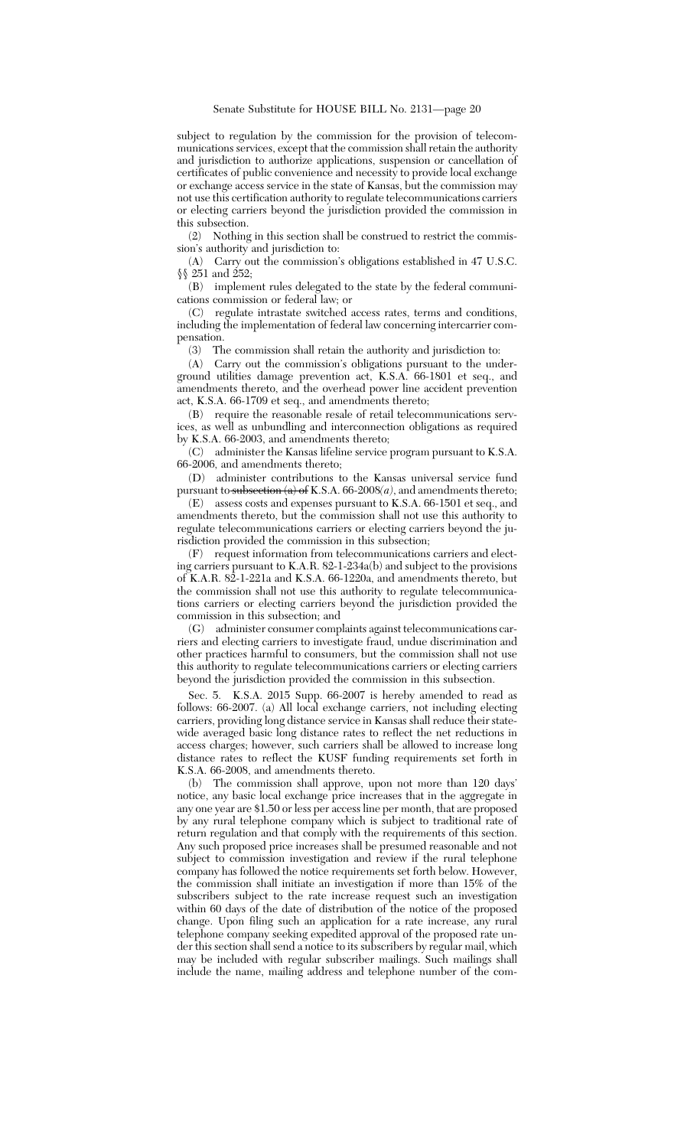subject to regulation by the commission for the provision of telecommunications services, except that the commission shall retain the authority and jurisdiction to authorize applications, suspension or cancellation of certificates of public convenience and necessity to provide local exchange or exchange access service in the state of Kansas, but the commission may not use this certification authority to regulate telecommunications carriers or electing carriers beyond the jurisdiction provided the commission in this subsection.

(2) Nothing in this section shall be construed to restrict the commission's authority and jurisdiction to:

(A) Carry out the commission's obligations established in 47 U.S.C. §§ 251 and 252;

(B) implement rules delegated to the state by the federal communications commission or federal law; or

(C) regulate intrastate switched access rates, terms and conditions, including the implementation of federal law concerning intercarrier compensation.

(3) The commission shall retain the authority and jurisdiction to:

(A) Carry out the commission's obligations pursuant to the underground utilities damage prevention act, K.S.A. 66-1801 et seq., and amendments thereto, and the overhead power line accident prevention act, K.S.A. 66-1709 et seq., and amendments thereto;

(B) require the reasonable resale of retail telecommunications services, as well as unbundling and interconnection obligations as required by K.S.A. 66-2003, and amendments thereto;

(C) administer the Kansas lifeline service program pursuant to K.S.A. 66-2006, and amendments thereto;

(D) administer contributions to the Kansas universal service fund pursuant to subsection  $(a)$  of K.S.A. 66-2008 $(a)$ , and amendments thereto;

(E) assess costs and expenses pursuant to K.S.A. 66-1501 et seq., and amendments thereto, but the commission shall not use this authority to regulate telecommunications carriers or electing carriers beyond the jurisdiction provided the commission in this subsection;

(F) request information from telecommunications carriers and electing carriers pursuant to K.A.R. 82-1-234a(b) and subject to the provisions of K.A.R. 82-1-221a and K.S.A. 66-1220a, and amendments thereto, but the commission shall not use this authority to regulate telecommunications carriers or electing carriers beyond the jurisdiction provided the commission in this subsection; and

(G) administer consumer complaints against telecommunications carriers and electing carriers to investigate fraud, undue discrimination and other practices harmful to consumers, but the commission shall not use this authority to regulate telecommunications carriers or electing carriers beyond the jurisdiction provided the commission in this subsection.

Sec. 5. K.S.A. 2015 Supp. 66-2007 is hereby amended to read as follows: 66-2007. (a) All local exchange carriers, not including electing carriers, providing long distance service in Kansas shall reduce their statewide averaged basic long distance rates to reflect the net reductions in access charges; however, such carriers shall be allowed to increase long distance rates to reflect the KUSF funding requirements set forth in K.S.A. 66-2008, and amendments thereto.

(b) The commission shall approve, upon not more than 120 days' notice, any basic local exchange price increases that in the aggregate in any one year are \$1.50 or less per access line per month, that are proposed by any rural telephone company which is subject to traditional rate of return regulation and that comply with the requirements of this section. Any such proposed price increases shall be presumed reasonable and not subject to commission investigation and review if the rural telephone company has followed the notice requirements set forth below. However, the commission shall initiate an investigation if more than 15% of the subscribers subject to the rate increase request such an investigation within 60 days of the date of distribution of the notice of the proposed change. Upon filing such an application for a rate increase, any rural telephone company seeking expedited approval of the proposed rate under this section shall send a notice to its subscribers by regular mail, which may be included with regular subscriber mailings. Such mailings shall include the name, mailing address and telephone number of the com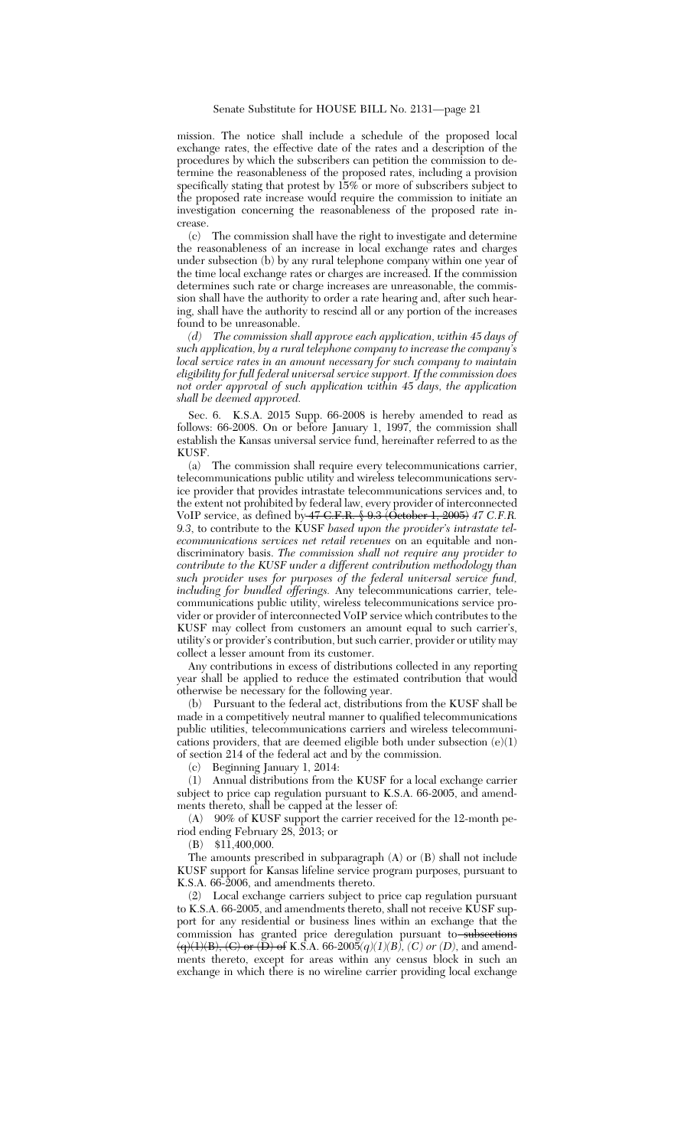mission. The notice shall include a schedule of the proposed local exchange rates, the effective date of the rates and a description of the procedures by which the subscribers can petition the commission to determine the reasonableness of the proposed rates, including a provision specifically stating that protest by 15% or more of subscribers subject to the proposed rate increase would require the commission to initiate an investigation concerning the reasonableness of the proposed rate increase.

(c) The commission shall have the right to investigate and determine the reasonableness of an increase in local exchange rates and charges under subsection (b) by any rural telephone company within one year of the time local exchange rates or charges are increased. If the commission determines such rate or charge increases are unreasonable, the commission shall have the authority to order a rate hearing and, after such hearing, shall have the authority to rescind all or any portion of the increases found to be unreasonable.

*(d) The commission shall approve each application, within 45 days of such application, by a rural telephone company to increase the company's local service rates in an amount necessary for such company to maintain eligibility for full federal universal service support. If the commission does not order approval of such application within 45 days, the application shall be deemed approved.*

Sec. 6. K.S.A. 2015 Supp. 66-2008 is hereby amended to read as follows: 66-2008. On or before January 1, 1997, the commission shall establish the Kansas universal service fund, hereinafter referred to as the KUSF.

(a) The commission shall require every telecommunications carrier, telecommunications public utility and wireless telecommunications service provider that provides intrastate telecommunications services and, to the extent not prohibited by federal law, every provider of interconnected VoIP service, as defined by 47 C.F.R. § 9.3 (October 1, 2005) *47 C.F.R. 9.3*, to contribute to the KUSF *based upon the provider's intrastate telecommunications services net retail revenues* on an equitable and nondiscriminatory basis. *The commission shall not require any provider to contribute to the KUSF under a different contribution methodology than such provider uses for purposes of the federal universal service fund, including for bundled offerings.* Any telecommunications carrier, telecommunications public utility, wireless telecommunications service provider or provider of interconnected VoIP service which contributes to the KUSF may collect from customers an amount equal to such carrier's, utility's or provider's contribution, but such carrier, provider or utility may collect a lesser amount from its customer.

Any contributions in excess of distributions collected in any reporting year shall be applied to reduce the estimated contribution that would otherwise be necessary for the following year.

(b) Pursuant to the federal act, distributions from the KUSF shall be made in a competitively neutral manner to qualified telecommunications public utilities, telecommunications carriers and wireless telecommunications providers, that are deemed eligible both under subsection  $(e)(1)$ of section 214 of the federal act and by the commission.

(c) Beginning January 1, 2014:

(1) Annual distributions from the KUSF for a local exchange carrier subject to price cap regulation pursuant to K.S.A. 66-2005, and amendments thereto, shall be capped at the lesser of:

(A) 90% of KUSF support the carrier received for the 12-month period ending February 28, 2013; or

(B) \$11,400,000.

The amounts prescribed in subparagraph (A) or (B) shall not include KUSF support for Kansas lifeline service program purposes, pursuant to K.S.A. 66-2006, and amendments thereto.

(2) Local exchange carriers subject to price cap regulation pursuant to K.S.A. 66-2005, and amendments thereto, shall not receive KUSF support for any residential or business lines within an exchange that the commission has granted price deregulation pursuant to subsections  $\left(\frac{q}{1},E\right),\left(\frac{C}{P}\right)$  or  $\left(\frac{D}{P}\right)$  of K.S.A. 66-2005 $\left(\frac{q}{1},E\right)$ ,  $\left(\frac{C}{P}\right)$  or  $\left(\frac{D}{P}\right)$ , and amendments thereto, except for areas within any census block in such an exchange in which there is no wireline carrier providing local exchange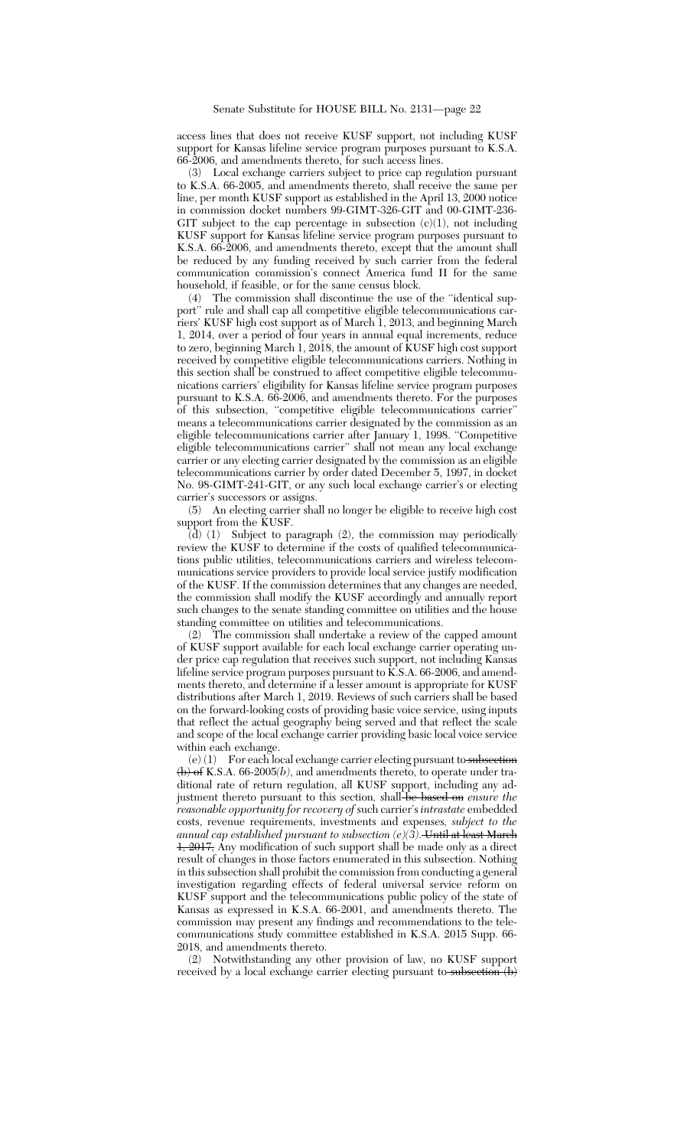access lines that does not receive KUSF support, not including KUSF support for Kansas lifeline service program purposes pursuant to K.S.A. 66-2006, and amendments thereto, for such access lines.

(3) Local exchange carriers subject to price cap regulation pursuant to K.S.A. 66-2005, and amendments thereto, shall receive the same per line, per month KUSF support as established in the April 13, 2000 notice in commission docket numbers 99-GIMT-326-GIT and 00-GIMT-236- GIT subject to the cap percentage in subsection  $(c)(1)$ , not including KUSF support for Kansas lifeline service program purposes pursuant to K.S.A. 66-2006, and amendments thereto, except that the amount shall be reduced by any funding received by such carrier from the federal communication commission's connect America fund II for the same household, if feasible, or for the same census block.

(4) The commission shall discontinue the use of the ''identical support'' rule and shall cap all competitive eligible telecommunications carriers' KUSF high cost support as of March 1, 2013, and beginning March 1, 2014, over a period of four years in annual equal increments, reduce to zero, beginning March 1,  $2018$ , the amount of KUSF high cost support received by competitive eligible telecommunications carriers. Nothing in this section shall be construed to affect competitive eligible telecommunications carriers' eligibility for Kansas lifeline service program purposes pursuant to K.S.A. 66-2006, and amendments thereto. For the purposes of this subsection, ''competitive eligible telecommunications carrier'' means a telecommunications carrier designated by the commission as an eligible telecommunications carrier after January 1, 1998. ''Competitive eligible telecommunications carrier'' shall not mean any local exchange carrier or any electing carrier designated by the commission as an eligible telecommunications carrier by order dated December 5, 1997, in docket No. 98-GIMT-241-GIT, or any such local exchange carrier's or electing carrier's successors or assigns.

(5) An electing carrier shall no longer be eligible to receive high cost support from the KUSF.

 $(d)$  (1) Subject to paragraph (2), the commission may periodically review the KUSF to determine if the costs of qualified telecommunications public utilities, telecommunications carriers and wireless telecommunications service providers to provide local service justify modification of the KUSF. If the commission determines that any changes are needed, the commission shall modify the KUSF accordingly and annually report such changes to the senate standing committee on utilities and the house standing committee on utilities and telecommunications.

The commission shall undertake a review of the capped amount of KUSF support available for each local exchange carrier operating under price cap regulation that receives such support, not including Kansas lifeline service program purposes pursuant to  $\widetilde{K}$ . S.A. 66-2006, and amendments thereto, and determine if a lesser amount is appropriate for KUSF distributions after March 1, 2019. Reviews of such carriers shall be based on the forward-looking costs of providing basic voice service, using inputs that reflect the actual geography being served and that reflect the scale and scope of the local exchange carrier providing basic local voice service within each exchange.

 $(e)$  (1) For each local exchange carrier electing pursuant to subsection (b) of K.S.A. 66-2005*(b)*, and amendments thereto, to operate under traditional rate of return regulation, all KUSF support, including any adjustment thereto pursuant to this section, shall be based on *ensure the reasonable opportunity for recovery of* such carrier's *intrastate* embedded costs, revenue requirements, investments and expenses*, subject to the annual cap established pursuant to subsection (e)(3)*. Until at least March 1, 2017, Any modification of such support shall be made only as a direct result of changes in those factors enumerated in this subsection. Nothing in this subsection shall prohibit the commission from conducting a general investigation regarding effects of federal universal service reform on KUSF support and the telecommunications public policy of the state of Kansas as expressed in K.S.A. 66-2001, and amendments thereto. The commission may present any findings and recommendations to the telecommunications study committee established in K.S.A. 2015 Supp. 66- 2018, and amendments thereto.

(2) Notwithstanding any other provision of law, no KUSF support received by a local exchange carrier electing pursuant to subsection  $(b)$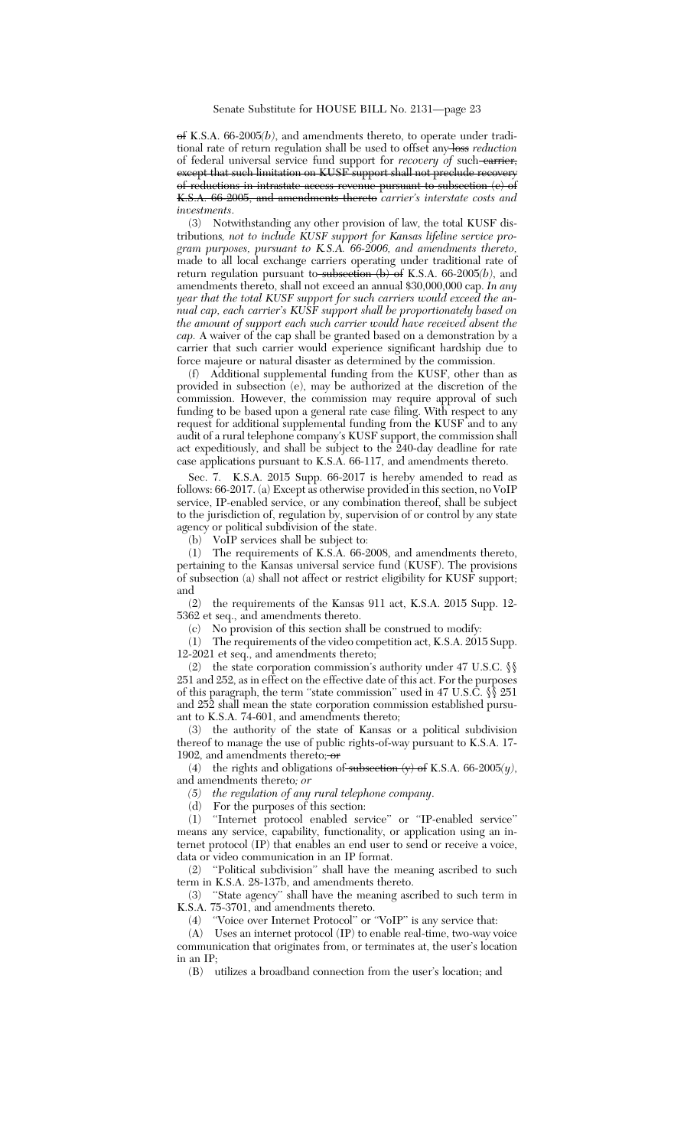of K.S.A. 66-2005*(b)*, and amendments thereto, to operate under traditional rate of return regulation shall be used to offset any loss *reduction* of federal universal service fund support for *recovery of* such carrier, except that such limitation on KUSF support shall not preclude recovery of reductions in intrastate access revenue pursuant to subsection (c) of K.S.A. 66-2005, and amendments thereto *carrier's interstate costs and investments*.

(3) Notwithstanding any other provision of law, the total KUSF distributions*, not to include KUSF support for Kansas lifeline service program purposes, pursuant to K.S.A. 66-2006, and amendments thereto,* made to all local exchange carriers operating under traditional rate of return regulation pursuant to subsection (b) of K.S.A. 66-2005*(b)*, and amendments thereto, shall not exceed an annual \$30,000,000 cap. *In any year that the total KUSF support for such carriers would exceed the annual cap, each carrier's KUSF support shall be proportionately based on the amount of support each such carrier would have received absent the cap.* A waiver of the cap shall be granted based on a demonstration by a carrier that such carrier would experience significant hardship due to force majeure or natural disaster as determined by the commission.

(f) Additional supplemental funding from the KUSF, other than as provided in subsection (e), may be authorized at the discretion of the commission. However, the commission may require approval of such funding to be based upon a general rate case filing. With respect to any request for additional supplemental funding from the KUSF and to any audit of a rural telephone company's KUSF support, the commission shall act expeditiously, and shall be subject to the 240-day deadline for rate case applications pursuant to K.S.A. 66-117, and amendments thereto.

Sec. 7. K.S.A. 2015 Supp. 66-2017 is hereby amended to read as follows: 66-2017. (a) Except as otherwise provided in this section, no VoIP service, IP-enabled service, or any combination thereof, shall be subject to the jurisdiction of, regulation by, supervision of or control by any state agency or political subdivision of the state.

(b) VoIP services shall be subject to:

(1) The requirements of K.S.A. 66-2008, and amendments thereto, pertaining to the Kansas universal service fund (KUSF). The provisions of subsection (a) shall not affect or restrict eligibility for KUSF support; and

(2) the requirements of the Kansas 911 act, K.S.A. 2015 Supp. 12- 5362 et seq., and amendments thereto.

(c) No provision of this section shall be construed to modify:

(1) The requirements of the video competition act, K.S.A. 2015 Supp. 12-2021 et seq., and amendments thereto;

(2) the state corporation commission's authority under 47 U.S.C. §§ 251 and 252, as in effect on the effective date of this act. For the purposes of this paragraph, the term "state commission" used in 47 U.S.C.  $\S$  251 and 252 shall mean the state corporation commission established pursuant to K.S.A. 74-601, and amendments thereto;

(3) the authority of the state of Kansas or a political subdivision thereof to manage the use of public rights-of-way pursuant to K.S.A. 17- 1902, and amendments thereto;  $\sigma$ 

(4) the rights and obligations of subsection  $(y)$  of K.S.A. 66-2005 $(y)$ , and amendments thereto*; or*

*(5) the regulation of any rural telephone company*.

(d) For the purposes of this section:

(1) ''Internet protocol enabled service'' or ''IP-enabled service'' means any service, capability, functionality, or application using an internet protocol (IP) that enables an end user to send or receive a voice, data or video communication in an IP format.

(2) ''Political subdivision'' shall have the meaning ascribed to such term in K.S.A. 28-137b, and amendments thereto.

(3) ''State agency'' shall have the meaning ascribed to such term in K.S.A. 75-3701, and amendments thereto.

(4) ''Voice over Internet Protocol'' or ''VoIP'' is any service that:

(A) Uses an internet protocol (IP) to enable real-time, two-way voice communication that originates from, or terminates at, the user's location in an IP;

(B) utilizes a broadband connection from the user's location; and